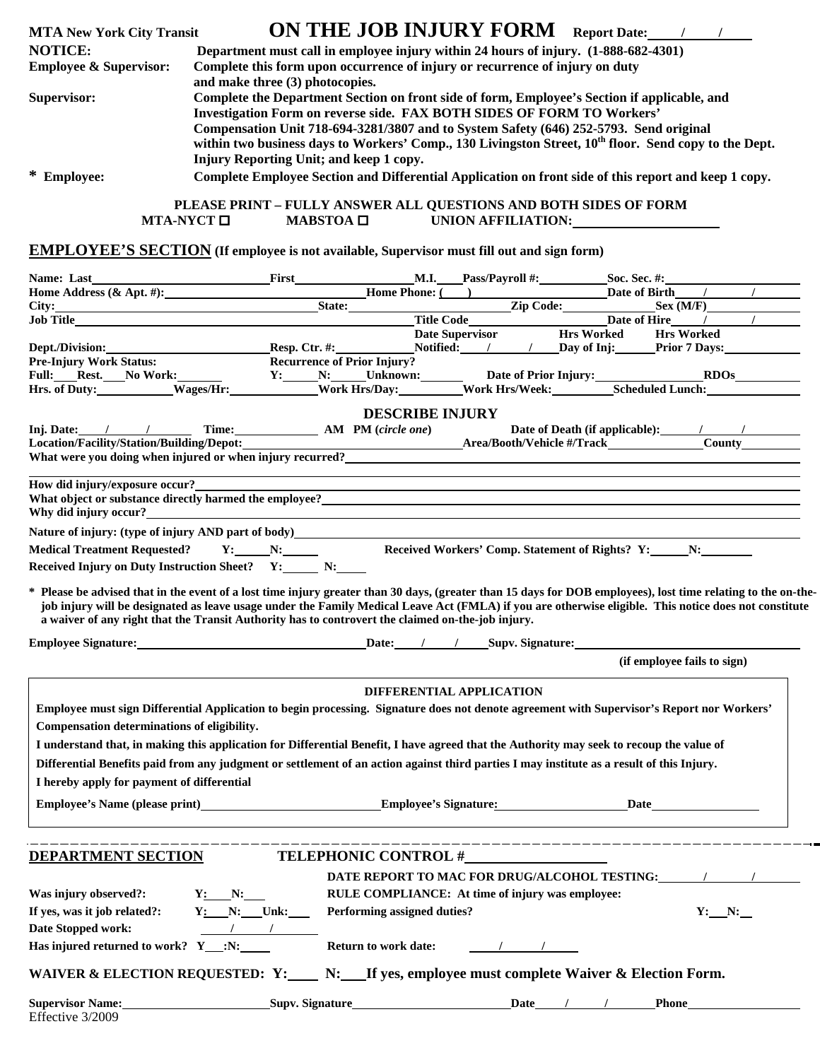| <b>MTA New York City Transit</b>  | ON THE JOB INJURY FORM<br><b>Report Date:</b>                                                                                                                                                                                                                                                                                                                                                                                           |
|-----------------------------------|-----------------------------------------------------------------------------------------------------------------------------------------------------------------------------------------------------------------------------------------------------------------------------------------------------------------------------------------------------------------------------------------------------------------------------------------|
| <b>NOTICE:</b>                    | Department must call in employee injury within 24 hours of injury. (1-888-682-4301)                                                                                                                                                                                                                                                                                                                                                     |
| <b>Employee &amp; Supervisor:</b> | Complete this form upon occurrence of injury or recurrence of injury on duty<br>and make three (3) photocopies.                                                                                                                                                                                                                                                                                                                         |
| Supervisor:                       | Complete the Department Section on front side of form, Employee's Section if applicable, and<br><b>Investigation Form on reverse side. FAX BOTH SIDES OF FORM TO Workers'</b><br>Compensation Unit 718-694-3281/3807 and to System Safety (646) 252-5793. Send original<br>within two business days to Workers' Comp., 130 Livingston Street, 10 <sup>th</sup> floor. Send copy to the Dept.<br>Injury Reporting Unit; and keep 1 copy. |
| * Employee:                       | Complete Employee Section and Differential Application on front side of this report and keep 1 copy.<br>PLEASE PRINT – FULLY ANSWER ALL QUESTIONS AND BOTH SIDES OF FORM                                                                                                                                                                                                                                                                |
|                                   | $MTA-NYCT$ $\square$<br>$MABSTOA$ $\Box$<br>UNION AFFILIATION:                                                                                                                                                                                                                                                                                                                                                                          |

## **EMPLOYEE'S SECTION (If employee is not available, Supervisor must fill out and sign form)**

|                                                                                                                                                                                                                                                   |              | <b>First M.I. Pass/Payroll #:</b> Soc. Sec. #:   |                          |                                                                                   |                             |
|---------------------------------------------------------------------------------------------------------------------------------------------------------------------------------------------------------------------------------------------------|--------------|--------------------------------------------------|--------------------------|-----------------------------------------------------------------------------------|-----------------------------|
|                                                                                                                                                                                                                                                   |              |                                                  |                          |                                                                                   |                             |
|                                                                                                                                                                                                                                                   |              |                                                  |                          |                                                                                   |                             |
| Home Address (& Apt. #):<br>State:<br>Title Code Late of Birth / / /<br>State:<br>Title Code Date of Hire / / /<br>Date of Hire / / /<br>Date of Hire / / /<br>Date of Hire / / /<br>Date of Hire / / /<br>Date of Hire / / /<br>Date of Hire / / |              |                                                  |                          |                                                                                   |                             |
|                                                                                                                                                                                                                                                   |              |                                                  |                          |                                                                                   |                             |
| Dept./Division: Resp. Ctr. #: Notified: / / Day of Inj: Prior 7 Days:                                                                                                                                                                             |              |                                                  |                          |                                                                                   |                             |
| <b>Pre-Injury Work Status:</b>                                                                                                                                                                                                                    |              | <b>Recurrence of Prior Injury?</b>               |                          |                                                                                   |                             |
|                                                                                                                                                                                                                                                   |              |                                                  |                          |                                                                                   |                             |
|                                                                                                                                                                                                                                                   |              |                                                  |                          |                                                                                   |                             |
|                                                                                                                                                                                                                                                   |              | <b>DESCRIBE INJURY</b>                           |                          |                                                                                   |                             |
|                                                                                                                                                                                                                                                   |              |                                                  |                          |                                                                                   |                             |
|                                                                                                                                                                                                                                                   |              |                                                  |                          |                                                                                   |                             |
|                                                                                                                                                                                                                                                   |              |                                                  |                          |                                                                                   |                             |
|                                                                                                                                                                                                                                                   |              |                                                  |                          |                                                                                   |                             |
| How did injury/exposure occur?                                                                                                                                                                                                                    |              |                                                  |                          | ,我们也不会有什么。""我们的人,我们也不会有什么?""我们的人,我们也不会有什么?""我们的人,我们也不会有什么?""我们的人,我们也不会有什么?""我们的人  |                             |
| What object or substance directly harmed the employee?<br>The same state of the substance directly harmed the employee?<br>The same state of the state of the state of the state of the state of the state of the state of the sta                |              |                                                  |                          |                                                                                   |                             |
|                                                                                                                                                                                                                                                   |              |                                                  |                          |                                                                                   |                             |
|                                                                                                                                                                                                                                                   |              |                                                  |                          |                                                                                   |                             |
| Medical Treatment Requested? Y: N: N:                                                                                                                                                                                                             |              |                                                  |                          | Received Workers' Comp. Statement of Rights? Y:__________________________________ |                             |
| Received Injury on Duty Instruction Sheet? Y: N: N:                                                                                                                                                                                               |              |                                                  |                          |                                                                                   |                             |
| a waiver of any right that the Transit Authority has to controvert the claimed on-the-job injury.                                                                                                                                                 |              |                                                  |                          |                                                                                   |                             |
|                                                                                                                                                                                                                                                   |              |                                                  |                          |                                                                                   | (if employee fails to sign) |
|                                                                                                                                                                                                                                                   |              |                                                  | DIFFERENTIAL APPLICATION |                                                                                   |                             |
| Employee must sign Differential Application to begin processing. Signature does not denote agreement with Supervisor's Report nor Workers'                                                                                                        |              |                                                  |                          |                                                                                   |                             |
| Compensation determinations of eligibility.                                                                                                                                                                                                       |              |                                                  |                          |                                                                                   |                             |
|                                                                                                                                                                                                                                                   |              |                                                  |                          |                                                                                   |                             |
| I understand that, in making this application for Differential Benefit, I have agreed that the Authority may seek to recoup the value of                                                                                                          |              |                                                  |                          |                                                                                   |                             |
| Differential Benefits paid from any judgment or settlement of an action against third parties I may institute as a result of this Injury.                                                                                                         |              |                                                  |                          |                                                                                   |                             |
| I hereby apply for payment of differential                                                                                                                                                                                                        |              |                                                  |                          |                                                                                   |                             |
| Employee's Name (please print) <b>Employee's Signature:</b> Date Date                                                                                                                                                                             |              |                                                  |                          |                                                                                   |                             |
|                                                                                                                                                                                                                                                   |              |                                                  |                          |                                                                                   |                             |
|                                                                                                                                                                                                                                                   |              |                                                  |                          | _______________________________                                                   |                             |
| DEPARTMENT SECTION                                                                                                                                                                                                                                |              | TELEPHONIC CONTROL #                             |                          |                                                                                   |                             |
|                                                                                                                                                                                                                                                   |              |                                                  |                          |                                                                                   |                             |
|                                                                                                                                                                                                                                                   |              |                                                  |                          | DATE REPORT TO MAC FOR DRUG/ALCOHOL TESTING:                                      |                             |
| Was injury observed?:<br>$Y:$ N:                                                                                                                                                                                                                  |              | RULE COMPLIANCE: At time of injury was employee: |                          |                                                                                   |                             |
| If yes, was it job related?:                                                                                                                                                                                                                      | $Y: N:$ Unk: | Performing assigned duties?                      |                          |                                                                                   | $Y:$ N:                     |
| Date Stopped work:                                                                                                                                                                                                                                | $\sqrt{1}$   |                                                  |                          |                                                                                   |                             |
| Has injured returned to work? $Y : N:$                                                                                                                                                                                                            |              | Return to work date:                             | $\sqrt{2}$               |                                                                                   |                             |
|                                                                                                                                                                                                                                                   |              |                                                  |                          |                                                                                   |                             |
| WAIVER & ELECTION REQUESTED: Y:____ N:___If yes, employee must complete Waiver & Election Form.                                                                                                                                                   |              |                                                  |                          |                                                                                   |                             |
| <b>Supervisor Name:</b>                                                                                                                                                                                                                           |              |                                                  |                          |                                                                                   | <b>Phone</b>                |
| Effective 3/2009                                                                                                                                                                                                                                  |              |                                                  |                          |                                                                                   |                             |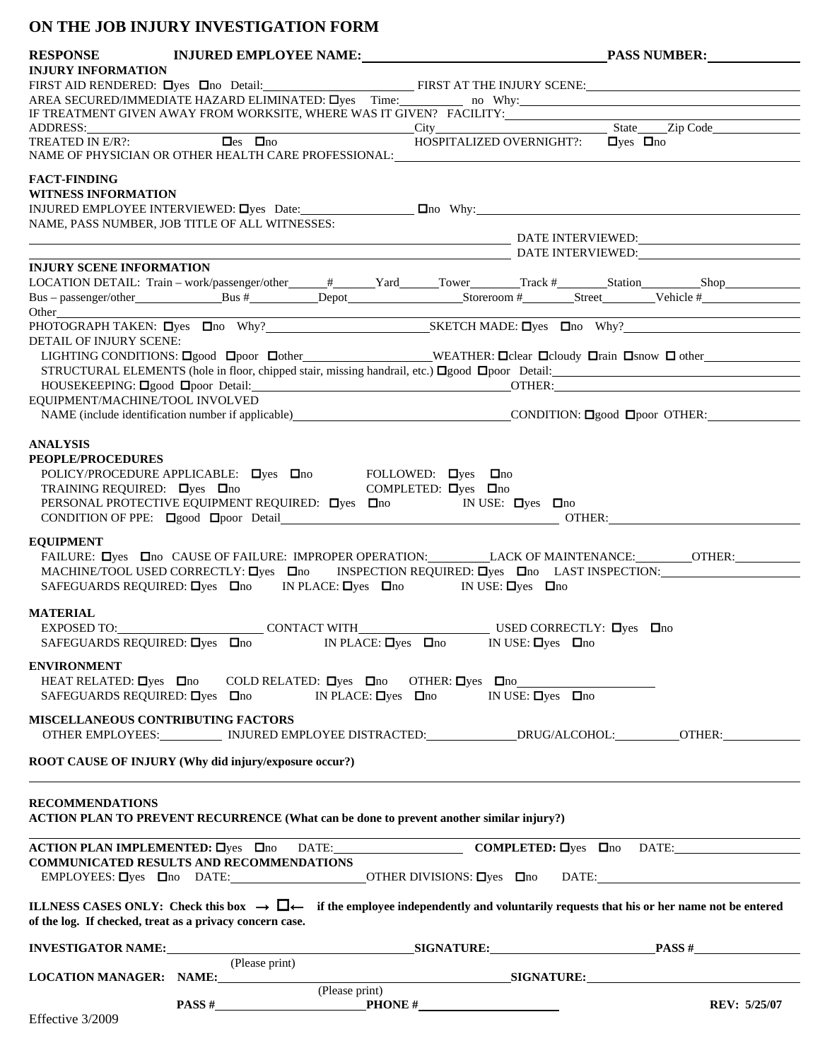## **ON THE JOB INJURY INVESTIGATION FORM**

|                                                                                                                                                                                                                               |                                                                                                                  |                                                                                                                                                                                                                                                                                                                                                                             | RESPONSE INJURED EMPLOYEE NAME: PASS NUMBER: PASS NUMBER:                                                                                                   |
|-------------------------------------------------------------------------------------------------------------------------------------------------------------------------------------------------------------------------------|------------------------------------------------------------------------------------------------------------------|-----------------------------------------------------------------------------------------------------------------------------------------------------------------------------------------------------------------------------------------------------------------------------------------------------------------------------------------------------------------------------|-------------------------------------------------------------------------------------------------------------------------------------------------------------|
| <b>INJURY INFORMATION</b>                                                                                                                                                                                                     |                                                                                                                  |                                                                                                                                                                                                                                                                                                                                                                             |                                                                                                                                                             |
|                                                                                                                                                                                                                               |                                                                                                                  |                                                                                                                                                                                                                                                                                                                                                                             | FIRST AID RENDERED: Dyes Ono Detail: FIRST AT THE INJURY SCENE:                                                                                             |
|                                                                                                                                                                                                                               |                                                                                                                  |                                                                                                                                                                                                                                                                                                                                                                             | AREA SECURED/IMMEDIATE HAZARD ELIMINATED: Dyes Time: no Why:                                                                                                |
|                                                                                                                                                                                                                               |                                                                                                                  |                                                                                                                                                                                                                                                                                                                                                                             |                                                                                                                                                             |
|                                                                                                                                                                                                                               |                                                                                                                  |                                                                                                                                                                                                                                                                                                                                                                             |                                                                                                                                                             |
|                                                                                                                                                                                                                               |                                                                                                                  |                                                                                                                                                                                                                                                                                                                                                                             |                                                                                                                                                             |
|                                                                                                                                                                                                                               |                                                                                                                  | NAME OF PHYSICIAN OR OTHER HEALTH CARE PROFESSIONAL: University of the contract of the contract of the contract of the contract of the contract of the contract of the contract of the contract of the contract of the contrac                                                                                                                                              |                                                                                                                                                             |
| <b>FACT-FINDING</b>                                                                                                                                                                                                           |                                                                                                                  |                                                                                                                                                                                                                                                                                                                                                                             |                                                                                                                                                             |
| <b>WITNESS INFORMATION</b>                                                                                                                                                                                                    |                                                                                                                  |                                                                                                                                                                                                                                                                                                                                                                             |                                                                                                                                                             |
|                                                                                                                                                                                                                               |                                                                                                                  |                                                                                                                                                                                                                                                                                                                                                                             |                                                                                                                                                             |
|                                                                                                                                                                                                                               | NAME, PASS NUMBER, JOB TITLE OF ALL WITNESSES:                                                                   |                                                                                                                                                                                                                                                                                                                                                                             |                                                                                                                                                             |
|                                                                                                                                                                                                                               |                                                                                                                  |                                                                                                                                                                                                                                                                                                                                                                             | DATE INTERVIEWED:                                                                                                                                           |
|                                                                                                                                                                                                                               |                                                                                                                  |                                                                                                                                                                                                                                                                                                                                                                             | DATE INTERVIEWED: NE ALL AND THE INTERVIEWED:                                                                                                               |
| <b>INJURY SCENE INFORMATION</b>                                                                                                                                                                                               |                                                                                                                  |                                                                                                                                                                                                                                                                                                                                                                             |                                                                                                                                                             |
|                                                                                                                                                                                                                               |                                                                                                                  |                                                                                                                                                                                                                                                                                                                                                                             |                                                                                                                                                             |
|                                                                                                                                                                                                                               |                                                                                                                  |                                                                                                                                                                                                                                                                                                                                                                             |                                                                                                                                                             |
| Other and the contract of the contract of the contract of the contract of the contract of the contract of the contract of the contract of the contract of the contract of the contract of the contract of the contract of the |                                                                                                                  |                                                                                                                                                                                                                                                                                                                                                                             |                                                                                                                                                             |
|                                                                                                                                                                                                                               |                                                                                                                  |                                                                                                                                                                                                                                                                                                                                                                             |                                                                                                                                                             |
| <b>DETAIL OF INJURY SCENE:</b>                                                                                                                                                                                                |                                                                                                                  |                                                                                                                                                                                                                                                                                                                                                                             |                                                                                                                                                             |
|                                                                                                                                                                                                                               |                                                                                                                  |                                                                                                                                                                                                                                                                                                                                                                             | LIGHTING CONDITIONS: Ogood Opoor Oother WEATHER: Oclear Ocloudy Orain Osnow O other                                                                         |
|                                                                                                                                                                                                                               |                                                                                                                  |                                                                                                                                                                                                                                                                                                                                                                             |                                                                                                                                                             |
| EQUIPMENT/MACHINE/TOOL INVOLVED                                                                                                                                                                                               |                                                                                                                  |                                                                                                                                                                                                                                                                                                                                                                             |                                                                                                                                                             |
|                                                                                                                                                                                                                               |                                                                                                                  |                                                                                                                                                                                                                                                                                                                                                                             | NAME (include identification number if applicable) CONDITION: Ogood Opoor OTHER:                                                                            |
|                                                                                                                                                                                                                               |                                                                                                                  |                                                                                                                                                                                                                                                                                                                                                                             |                                                                                                                                                             |
| <b>ANALYSIS</b>                                                                                                                                                                                                               |                                                                                                                  |                                                                                                                                                                                                                                                                                                                                                                             |                                                                                                                                                             |
| <b>PEOPLE/PROCEDURES</b>                                                                                                                                                                                                      |                                                                                                                  |                                                                                                                                                                                                                                                                                                                                                                             |                                                                                                                                                             |
|                                                                                                                                                                                                                               |                                                                                                                  |                                                                                                                                                                                                                                                                                                                                                                             |                                                                                                                                                             |
|                                                                                                                                                                                                                               | POLICY/PROCEDURE APPLICABLE: $\Box$ yes $\Box$ no FOLLOWED: $\Box$ yes $\Box$ no COMPLETED: $\Box$ yes $\Box$ no |                                                                                                                                                                                                                                                                                                                                                                             |                                                                                                                                                             |
|                                                                                                                                                                                                                               |                                                                                                                  | PERSONAL PROTECTIVE EQUIPMENT REQUIRED: $\Box$ yes $\Box$ no IN USE: $\Box$ yes $\Box$ no                                                                                                                                                                                                                                                                                   |                                                                                                                                                             |
|                                                                                                                                                                                                                               |                                                                                                                  |                                                                                                                                                                                                                                                                                                                                                                             | CONDITION OF PPE: Ogood Opoor Detail CONDITION OF PPE: Ogood Opoor Detail                                                                                   |
|                                                                                                                                                                                                                               |                                                                                                                  |                                                                                                                                                                                                                                                                                                                                                                             |                                                                                                                                                             |
| <b>EQUIPMENT</b>                                                                                                                                                                                                              |                                                                                                                  |                                                                                                                                                                                                                                                                                                                                                                             |                                                                                                                                                             |
|                                                                                                                                                                                                                               |                                                                                                                  |                                                                                                                                                                                                                                                                                                                                                                             | FAILURE: Dyes Dno CAUSE OF FAILURE: IMPROPER OPERATION: LACK OF MAINTENANCE: ________OTHER: ________                                                        |
|                                                                                                                                                                                                                               |                                                                                                                  |                                                                                                                                                                                                                                                                                                                                                                             | MACHINE/TOOL USED CORRECTLY: $\Box$ yes $\Box$ no INSPECTION REQUIRED: $\Box$ yes $\Box$ no LAST INSPECTION:                                                |
|                                                                                                                                                                                                                               |                                                                                                                  | SAFEGUARDS REQUIRED: $\Box$ yes $\Box$ no IN PLACE: $\Box$ yes $\Box$ no IN USE: $\Box$ yes $\Box$ no                                                                                                                                                                                                                                                                       |                                                                                                                                                             |
| <b>MATERIAL</b>                                                                                                                                                                                                               |                                                                                                                  |                                                                                                                                                                                                                                                                                                                                                                             |                                                                                                                                                             |
|                                                                                                                                                                                                                               |                                                                                                                  |                                                                                                                                                                                                                                                                                                                                                                             |                                                                                                                                                             |
|                                                                                                                                                                                                                               |                                                                                                                  | $\textsc{EXPOSED TO:}\begin{picture}(10,10) \put(0,0){\vector(1,0){100}} \put(15,0){\vector(1,0){100}} \put(15,0){\vector(1,0){100}} \put(15,0){\vector(1,0){100}} \put(15,0){\vector(1,0){100}} \put(15,0){\vector(1,0){100}} \put(15,0){\vector(1,0){100}} \put(15,0){\vector(1,0){100}} \put(15,0){\vector(1,0){100}} \put(15,0){\vector(1,0){100}} \put(15,0){\vector($ |                                                                                                                                                             |
|                                                                                                                                                                                                                               |                                                                                                                  |                                                                                                                                                                                                                                                                                                                                                                             |                                                                                                                                                             |
| <b>ENVIRONMENT</b>                                                                                                                                                                                                            |                                                                                                                  |                                                                                                                                                                                                                                                                                                                                                                             |                                                                                                                                                             |
|                                                                                                                                                                                                                               |                                                                                                                  | HEAT RELATED: $\Box$ yes $\Box$ no COLD RELATED: $\Box$ yes $\Box$ no OTHER: $\Box$ yes $\Box$ no                                                                                                                                                                                                                                                                           |                                                                                                                                                             |
| SAFEGUARDS REQUIRED: $\Box$ yes $\Box$ no                                                                                                                                                                                     |                                                                                                                  | IN PLACE: $\Box$ yes $\Box$ no<br>IN USE: $\Box$ yes $\Box$ no                                                                                                                                                                                                                                                                                                              |                                                                                                                                                             |
| MISCELLANEOUS CONTRIBUTING FACTORS                                                                                                                                                                                            |                                                                                                                  |                                                                                                                                                                                                                                                                                                                                                                             |                                                                                                                                                             |
|                                                                                                                                                                                                                               |                                                                                                                  | OTHER EMPLOYEES:___________ INJURED EMPLOYEE DISTRACTED:_______________DRUG/ALCOHOL:___________OTHER:__                                                                                                                                                                                                                                                                     |                                                                                                                                                             |
|                                                                                                                                                                                                                               |                                                                                                                  |                                                                                                                                                                                                                                                                                                                                                                             |                                                                                                                                                             |
|                                                                                                                                                                                                                               | ROOT CAUSE OF INJURY (Why did injury/exposure occur?)                                                            |                                                                                                                                                                                                                                                                                                                                                                             |                                                                                                                                                             |
|                                                                                                                                                                                                                               |                                                                                                                  |                                                                                                                                                                                                                                                                                                                                                                             |                                                                                                                                                             |
|                                                                                                                                                                                                                               |                                                                                                                  |                                                                                                                                                                                                                                                                                                                                                                             |                                                                                                                                                             |
| <b>RECOMMENDATIONS</b>                                                                                                                                                                                                        |                                                                                                                  |                                                                                                                                                                                                                                                                                                                                                                             |                                                                                                                                                             |
|                                                                                                                                                                                                                               |                                                                                                                  | ACTION PLAN TO PREVENT RECURRENCE (What can be done to prevent another similar injury?)                                                                                                                                                                                                                                                                                     |                                                                                                                                                             |
|                                                                                                                                                                                                                               |                                                                                                                  |                                                                                                                                                                                                                                                                                                                                                                             |                                                                                                                                                             |
|                                                                                                                                                                                                                               | <b>COMMUNICATED RESULTS AND RECOMMENDATIONS</b>                                                                  |                                                                                                                                                                                                                                                                                                                                                                             | ACTION PLAN IMPLEMENTED: Dyes Ono DATE: COMPLETED: Oyes Ono DATE:                                                                                           |
|                                                                                                                                                                                                                               |                                                                                                                  |                                                                                                                                                                                                                                                                                                                                                                             |                                                                                                                                                             |
|                                                                                                                                                                                                                               |                                                                                                                  |                                                                                                                                                                                                                                                                                                                                                                             |                                                                                                                                                             |
|                                                                                                                                                                                                                               |                                                                                                                  |                                                                                                                                                                                                                                                                                                                                                                             | ILLNESS CASES ONLY: Check this box $\rightarrow \Box \leftarrow$ if the employee independently and voluntarily requests that his or her name not be entered |
|                                                                                                                                                                                                                               | of the log. If checked, treat as a privacy concern case.                                                         |                                                                                                                                                                                                                                                                                                                                                                             |                                                                                                                                                             |
|                                                                                                                                                                                                                               |                                                                                                                  |                                                                                                                                                                                                                                                                                                                                                                             |                                                                                                                                                             |
|                                                                                                                                                                                                                               |                                                                                                                  |                                                                                                                                                                                                                                                                                                                                                                             |                                                                                                                                                             |
|                                                                                                                                                                                                                               |                                                                                                                  |                                                                                                                                                                                                                                                                                                                                                                             |                                                                                                                                                             |
|                                                                                                                                                                                                                               |                                                                                                                  |                                                                                                                                                                                                                                                                                                                                                                             |                                                                                                                                                             |
|                                                                                                                                                                                                                               |                                                                                                                  | (Please print)                                                                                                                                                                                                                                                                                                                                                              |                                                                                                                                                             |
| $Eff_{\text{eff}}$ $\rightarrow$ 2/2000                                                                                                                                                                                       |                                                                                                                  | $\frac{PANSS#$ PHONE #                                                                                                                                                                                                                                                                                                                                                      | <b>REV: 5/25/07</b>                                                                                                                                         |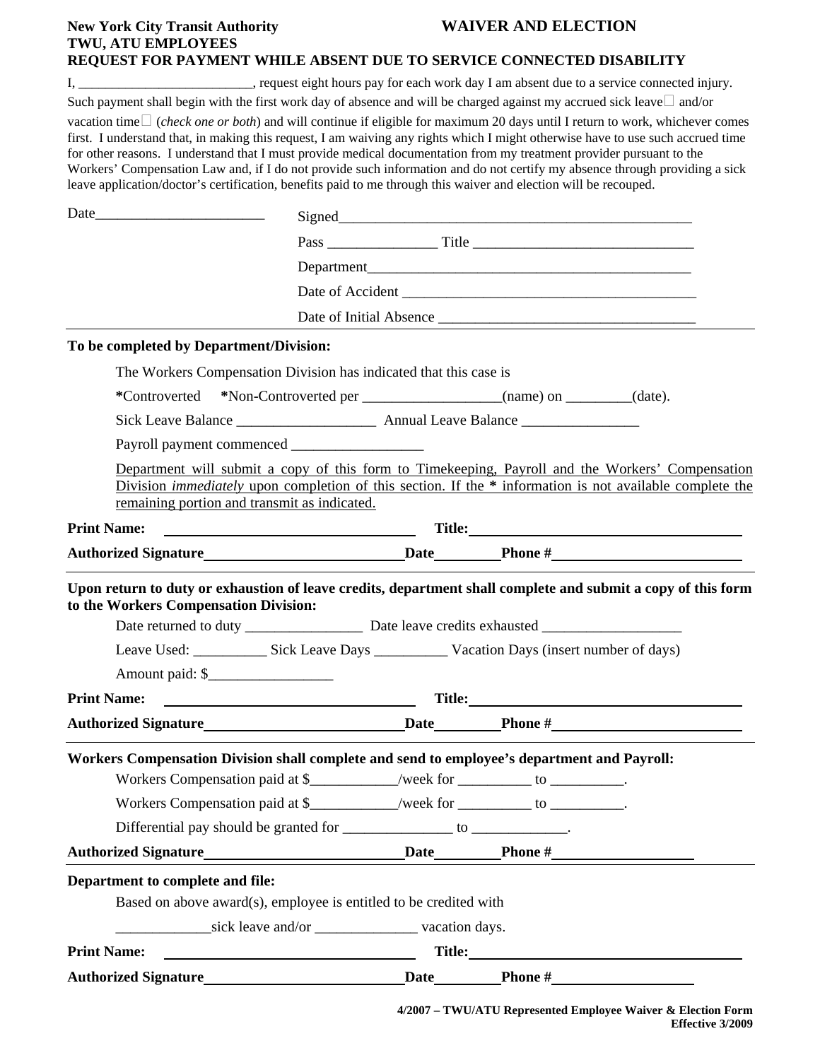| <b>New York City Transit Authority</b><br><b>TWU, ATU EMPLOYEES</b> | <b>WAIVER AND ELECTION</b>                                                                                                                                                                                                                                                                                                                                                                                                                                                                                                                                                                                                                               |
|---------------------------------------------------------------------|----------------------------------------------------------------------------------------------------------------------------------------------------------------------------------------------------------------------------------------------------------------------------------------------------------------------------------------------------------------------------------------------------------------------------------------------------------------------------------------------------------------------------------------------------------------------------------------------------------------------------------------------------------|
|                                                                     | REQUEST FOR PAYMENT WHILE ABSENT DUE TO SERVICE CONNECTED DISABILITY                                                                                                                                                                                                                                                                                                                                                                                                                                                                                                                                                                                     |
|                                                                     | I, ______________________________, request eight hours pay for each work day I am absent due to a service connected injury.<br>Such payment shall begin with the first work day of absence and will be charged against my accrued sick leave $\Box$ and/or                                                                                                                                                                                                                                                                                                                                                                                               |
|                                                                     | vacation time $\Box$ ( <i>check one or both</i> ) and will continue if eligible for maximum 20 days until I return to work, whichever comes<br>first. I understand that, in making this request, I am waiving any rights which I might otherwise have to use such accrued time<br>for other reasons. I understand that I must provide medical documentation from my treatment provider pursuant to the<br>Workers' Compensation Law and, if I do not provide such information and do not certify my absence through providing a sick<br>leave application/doctor's certification, benefits paid to me through this waiver and election will be recouped. |
|                                                                     |                                                                                                                                                                                                                                                                                                                                                                                                                                                                                                                                                                                                                                                          |
|                                                                     |                                                                                                                                                                                                                                                                                                                                                                                                                                                                                                                                                                                                                                                          |
|                                                                     |                                                                                                                                                                                                                                                                                                                                                                                                                                                                                                                                                                                                                                                          |
|                                                                     |                                                                                                                                                                                                                                                                                                                                                                                                                                                                                                                                                                                                                                                          |
|                                                                     | Date of Initial Absence                                                                                                                                                                                                                                                                                                                                                                                                                                                                                                                                                                                                                                  |
| To be completed by Department/Division:                             |                                                                                                                                                                                                                                                                                                                                                                                                                                                                                                                                                                                                                                                          |
|                                                                     | The Workers Compensation Division has indicated that this case is                                                                                                                                                                                                                                                                                                                                                                                                                                                                                                                                                                                        |
|                                                                     | *Controverted *Non-Controverted per _____________________(name) on ________(date).                                                                                                                                                                                                                                                                                                                                                                                                                                                                                                                                                                       |
|                                                                     |                                                                                                                                                                                                                                                                                                                                                                                                                                                                                                                                                                                                                                                          |
|                                                                     |                                                                                                                                                                                                                                                                                                                                                                                                                                                                                                                                                                                                                                                          |
| remaining portion and transmit as indicated.                        | Department will submit a copy of this form to Timekeeping, Payroll and the Workers' Compensation<br>Division <i>immediately</i> upon completion of this section. If the * information is not available complete the                                                                                                                                                                                                                                                                                                                                                                                                                                      |
| <b>Print Name:</b>                                                  |                                                                                                                                                                                                                                                                                                                                                                                                                                                                                                                                                                                                                                                          |
|                                                                     |                                                                                                                                                                                                                                                                                                                                                                                                                                                                                                                                                                                                                                                          |
| to the Workers Compensation Division:<br>Amount paid: \$            | Upon return to duty or exhaustion of leave credits, department shall complete and submit a copy of this form                                                                                                                                                                                                                                                                                                                                                                                                                                                                                                                                             |
|                                                                     |                                                                                                                                                                                                                                                                                                                                                                                                                                                                                                                                                                                                                                                          |
|                                                                     |                                                                                                                                                                                                                                                                                                                                                                                                                                                                                                                                                                                                                                                          |
|                                                                     | Workers Compensation Division shall complete and send to employee's department and Payroll:<br>Workers Compensation paid at \$____________/week for __________ to __________.<br>Workers Compensation paid at \$____________/week for __________ to __________.<br>Differential pay should be granted for _______________ to ____________.                                                                                                                                                                                                                                                                                                               |
|                                                                     |                                                                                                                                                                                                                                                                                                                                                                                                                                                                                                                                                                                                                                                          |
| Department to complete and file:<br><b>Print Name:</b>              | Based on above award(s), employee is entitled to be credited with<br><u> 1990 - Johann Barbara, martin amerikan ba</u>                                                                                                                                                                                                                                                                                                                                                                                                                                                                                                                                   |
|                                                                     |                                                                                                                                                                                                                                                                                                                                                                                                                                                                                                                                                                                                                                                          |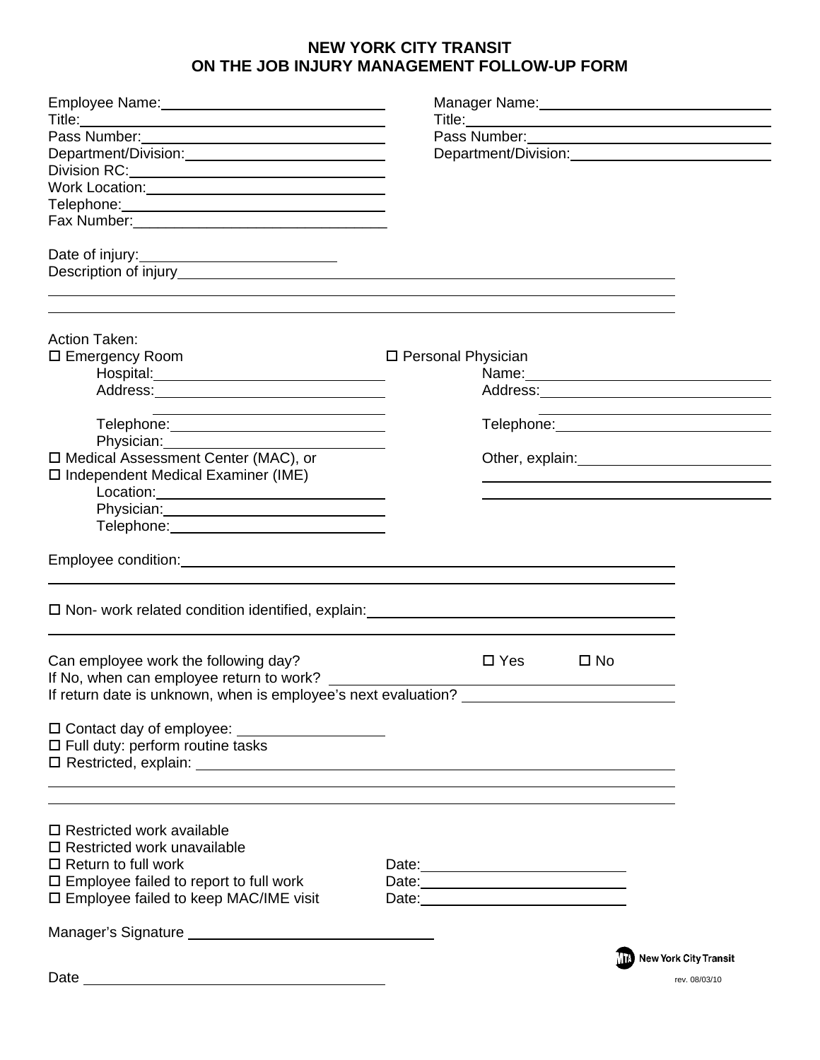## **NEW YORK CITY TRANSIT ON THE JOB INJURY MANAGEMENT FOLLOW-UP FORM**

| Employee Name: 1988 Manual Manual Manual Manual Manual Manual Manual Manual Manual Manual Manual Manual Manual<br>Department/Division:                                                                                                                                                                                                      |                                                                                                                |              | Manager Name: 1990 Manager Name: 1990<br>Department/Division:<br><u>Department/Division:</u> |
|---------------------------------------------------------------------------------------------------------------------------------------------------------------------------------------------------------------------------------------------------------------------------------------------------------------------------------------------|----------------------------------------------------------------------------------------------------------------|--------------|----------------------------------------------------------------------------------------------|
| <b>Action Taken:</b><br>□ Emergency Room<br>Address: No. 2014<br><u> 1989 - Johann Barnett, fransk politiker (d. 1989)</u><br>Physician: Physician:<br>□ Medical Assessment Center (MAC), or<br>□ Independent Medical Examiner (IME)<br>Location: <u>www.community.community.community.community.community.com</u><br>Telephone: Telephone: | □ Personal Physician                                                                                           |              | Telephone: Management Control of Telephone:<br>Other, explain:<br><u> Other, explain:</u>    |
| Employee condition: <u>contract and contract and contract and contract and contract and contract and contract and contract and contract and contract and contract and contract and contract and contract and contract and contra</u>                                                                                                        |                                                                                                                |              |                                                                                              |
| □ Non- work related condition identified, explain: _____________________________<br>Can employee work the following day?<br>If No, when can employee return to work?<br>If return date is unknown, when is employee's next evaluation?<br>$\square$ Full duty: perform routine tasks                                                        | $\square$ Yes                                                                                                  | $\square$ No |                                                                                              |
| $\Box$ Restricted work available<br>$\square$ Restricted work unavailable<br>$\Box$ Return to full work<br>$\square$ Employee failed to report to full work<br>$\square$ Employee failed to keep MAC/IME visit                                                                                                                              | Date: 2008 2010 2010 2021 2022 2023 2024 2022 2023 2024 2022 2023 2024 2022 2023 2024 2022 2023 2024 2022 2023 |              | <b>THE New York City Transit</b>                                                             |
| Date                                                                                                                                                                                                                                                                                                                                        |                                                                                                                |              | rev. 08/03/10                                                                                |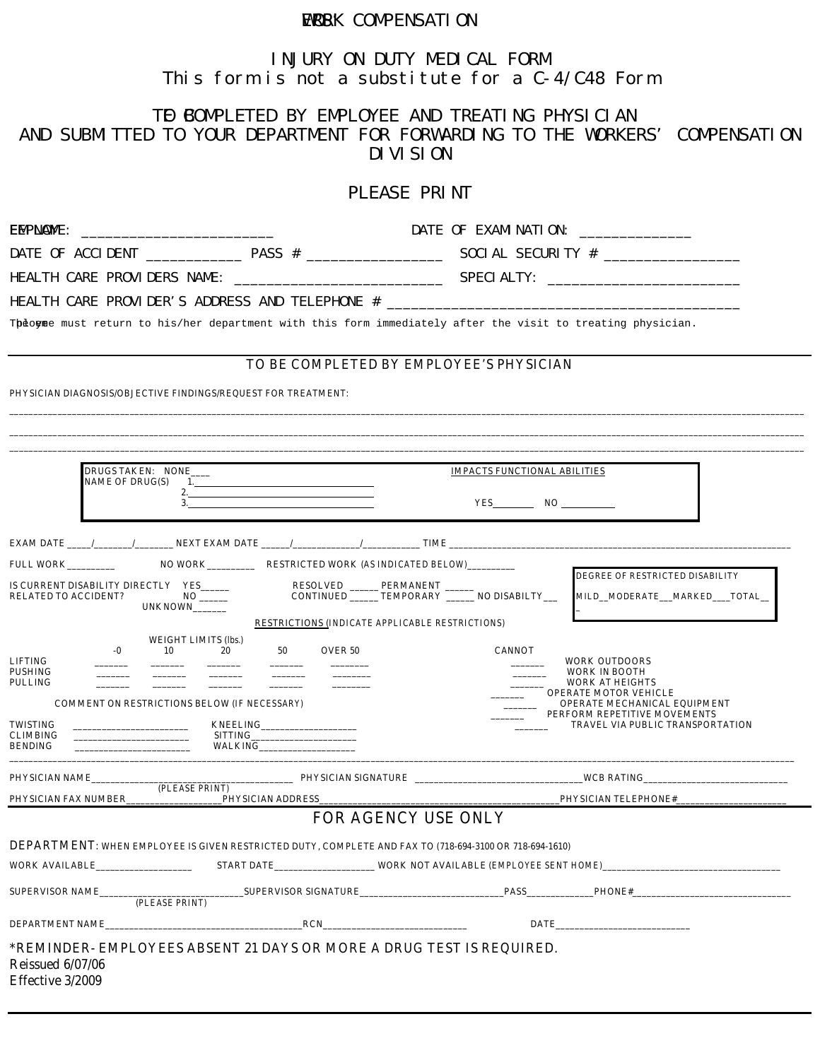### **ERSK COMPENSATION**

### **INJURY ON DUTY MEDICAL FORM This form is not a substitute for a C-4/C48 Form**

### T**O BOMPLETED BY EMPLOYEE AND TREATING PHYSICIAN**

**AND SUBMITTED TO YOUR DEPARTMENT FOR FORWARDING TO THE WORKERS' COMPENSATION DIVISION** 

### **PLEASE PRINT**

| EMPNAME:                                                                                                                                                                                                                                                                             |                                                        | DATE OF EXAMINATION:                                                                                                                                                                                                               |
|--------------------------------------------------------------------------------------------------------------------------------------------------------------------------------------------------------------------------------------------------------------------------------------|--------------------------------------------------------|------------------------------------------------------------------------------------------------------------------------------------------------------------------------------------------------------------------------------------|
|                                                                                                                                                                                                                                                                                      |                                                        |                                                                                                                                                                                                                                    |
|                                                                                                                                                                                                                                                                                      |                                                        |                                                                                                                                                                                                                                    |
|                                                                                                                                                                                                                                                                                      |                                                        | HEALTH CARE PROVIDER'S ADDRESS AND TELEPHONE #                                                                                                                                                                                     |
|                                                                                                                                                                                                                                                                                      |                                                        | Theogme must return to his/her department with this form immediately after the visit to treating physician.                                                                                                                        |
|                                                                                                                                                                                                                                                                                      |                                                        | TO BE COMPLETED BY EMPLOYEE'S PHYSICIAN                                                                                                                                                                                            |
| PHYSICIAN DIAGNOSIS/OBJECTIVE FINDINGS/REQUEST FOR TREATMENT:                                                                                                                                                                                                                        |                                                        |                                                                                                                                                                                                                                    |
| DRUGS TAKEN: NONE<br><b>NAME OF DRUG(S)</b><br>3.                                                                                                                                                                                                                                    | $\mathbf{1.}$ and $\mathbf{1.}$<br>2. $\blacksquare$   | <b>IMPACTS FUNCTIONAL ABILITIES</b><br>$YES$ NO $\qquad$                                                                                                                                                                           |
|                                                                                                                                                                                                                                                                                      |                                                        | <b>EXAM DATE</b> $\frac{1}{\sqrt{1-\frac{1}{2}}}\sqrt{1-\frac{1}{2}}$ <b>NEXT EXAM DATE</b> $\frac{1}{\sqrt{1-\frac{1}{2}}}\sqrt{1-\frac{1}{2}}$ <b>TIME</b>                                                                       |
|                                                                                                                                                                                                                                                                                      |                                                        |                                                                                                                                                                                                                                    |
| IS CURRENT DISABILITY DIRECTLY YES_____<br><b>RELATED TO ACCIDENT?</b><br>UNKNOWN                                                                                                                                                                                                    | RESOLVED _______ PERMANENT _____                       | DEGREE OF RESTRICTED DISABILITY<br>CONTINUED _______ TEMPORARY _______ NO DISABILTY___<br>MILD_MODERATE_MARKED__TOTAL_                                                                                                             |
| <b>WEIGHT LIMITS (lbs.)</b>                                                                                                                                                                                                                                                          | <b>RESTRICTIONS (INDICATE APPLICABLE RESTRICTIONS)</b> |                                                                                                                                                                                                                                    |
| 10<br>-0<br><b>LIFTING</b><br><b>PUSHING</b><br><b>PULLING</b><br><b>COMMENT ON RESTRICTIONS BELOW (IF NECESSARY)</b><br><b>TWISTING</b><br><b>CLIMBING</b><br><u> 1980 - Johann Harrison, mars eta industrial eta industrial eta industrial eta industrial eta industrial eta i</u> | 20<br>50<br><b>OVER 50</b><br>SITTING                  | <b>CANNOT</b><br><b>WORK OUTDOORS</b><br>WORK IN BOOTH<br><b>WORK AT HEIGHTS</b><br><b>OPERATE MOTOR VEHICLE</b><br><b>OPERATE MECHANICAL EQUIPMENT</b><br>PERFORM REPETITIVE MOVEMENTS<br><b>TRAVEL VIA PUBLIC TRANSPORTATION</b> |
| <b>BENDING</b>                                                                                                                                                                                                                                                                       | <b>WALKING</b>                                         |                                                                                                                                                                                                                                    |
| (PLEASE PRINT)                                                                                                                                                                                                                                                                       |                                                        |                                                                                                                                                                                                                                    |
|                                                                                                                                                                                                                                                                                      |                                                        |                                                                                                                                                                                                                                    |
|                                                                                                                                                                                                                                                                                      |                                                        | FOR AGENCY USE ONLY                                                                                                                                                                                                                |
| DEPARTMENT: WHEN EMPLOYEE IS GIVEN RESTRICTED DUTY, COMPLETE AND FAX TO (718-694-3100 OR 718-694-1610)                                                                                                                                                                               |                                                        |                                                                                                                                                                                                                                    |
| WORK AVAILABLE                                                                                                                                                                                                                                                                       |                                                        | START DATE WORK NOT AVAILABLE (EMPLOYEE SENT HOME)                                                                                                                                                                                 |
| <b>SUPERVISOR NAME</b><br>(PLEASE PRINT)                                                                                                                                                                                                                                             | <b>SUPERVISOR SIGNATURE</b>                            | <b>PASS</b><br><b>PHONE#</b>                                                                                                                                                                                                       |
| <b>DEPARTMENT NAME</b>                                                                                                                                                                                                                                                               | <b>RCN</b>                                             | <b>DATE</b>                                                                                                                                                                                                                        |
| *REMINDER- EMPLOYEES ABSENT 21 DAYS OR MORE A DRUG TEST IS REQUIRED.<br><b>Reissued 6/07/06</b><br>Effective 3/2009                                                                                                                                                                  |                                                        |                                                                                                                                                                                                                                    |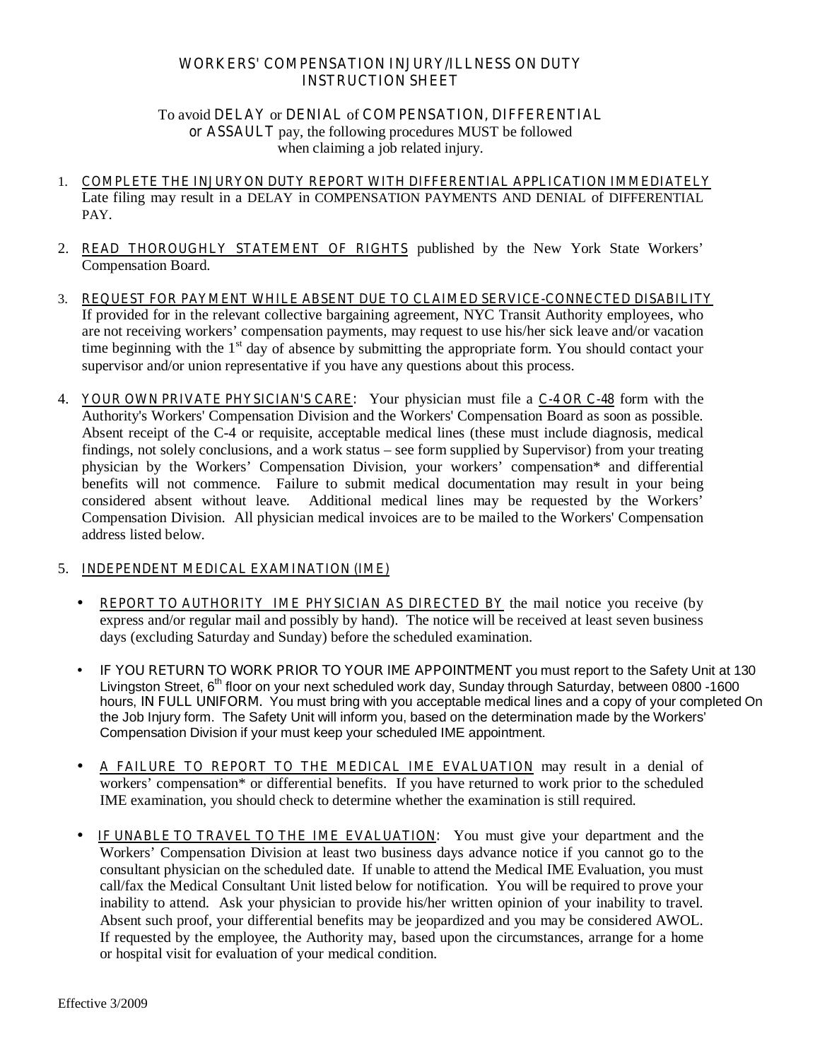### **WORKERS' COMPENSATION INJURY/ILLNESS ON DUTY INSTRUCTION SHEET**

### To avoid **DELAY** or **DENIAL** of **COMPENSATION, DIFFERENTIAL or ASSAULT** pay, the following procedures MUST be followed when claiming a job related injury.

- 1. **COMPLETE THE INJURYON DUTY REPORT WITH DIFFERENTIAL APPLICATION IMMEDIATELY** Late filing may result in a DELAY in COMPENSATION PAYMENTS AND DENIAL of DIFFERENTIAL PAY.
- 2. **READ THOROUGHLY STATEMENT OF RIGHTS** published by the New York State Workers' Compensation Board.
- 3. **REQUEST FOR PAYMENT WHILE ABSENT DUE TO CLAIMED SERVICE-CONNECTED DISABILITY** If provided for in the relevant collective bargaining agreement, NYC Transit Authority employees, who are not receiving workers' compensation payments, may request to use his/her sick leave and/or vacation time beginning with the  $1<sup>st</sup>$  day of absence by submitting the appropriate form. You should contact your supervisor and/or union representative if you have any questions about this process.
- 4. **YOUR OWN PRIVATE PHYSICIAN'S CARE:** Your physician must file a **C-4 OR C-48** form with the Authority's Workers' Compensation Division and the Workers' Compensation Board as soon as possible. Absent receipt of the C-4 or requisite, acceptable medical lines (these must include diagnosis, medical findings, not solely conclusions, and a work status – see form supplied by Supervisor) from your treating physician by the Workers' Compensation Division, your workers' compensation\* and differential benefits will not commence. Failure to submit medical documentation may result in your being considered absent without leave. Additional medical lines may be requested by the Workers' Compensation Division. All physician medical invoices are to be mailed to the Workers' Compensation address listed below.

### 5. **INDEPENDENT MEDICAL EXAMINATION (IME)**

- **REPORT TO AUTHORITY IME PHYSICIAN AS DIRECTED BY** the mail notice you receive (by express and/or regular mail and possibly by hand). The notice will be received at least seven business days (excluding Saturday and Sunday) before the scheduled examination.
- **IF YOU RETURN TO WORK PRIOR TO YOUR IME APPOINTMENT** you must report to the Safety Unit at 130 Livingston Street, 6<sup>th</sup> floor on your next scheduled work day, Sunday through Saturday, between 0800 -1600 hours, **IN FULL UNIFORM.** You must bring with you acceptable medical lines and a copy of your completed On the Job Injury form. The Safety Unit will inform you, based on the determination made by the Workers' Compensation Division if your must keep your scheduled IME appointment.
- **A FAILURE TO REPORT TO THE MEDICAL IME EVALUATION** may result in a denial of workers' compensation\* or differential benefits. If you have returned to work prior to the scheduled IME examination, you should check to determine whether the examination is still required.
- **IF UNABLE TO TRAVEL TO THE IME EVALUATION:** You must give your department and the Workers' Compensation Division at least two business days advance notice if you cannot go to the consultant physician on the scheduled date. If unable to attend the Medical IME Evaluation, you must call/fax the Medical Consultant Unit listed below for notification. You will be required to prove your inability to attend. Ask your physician to provide his/her written opinion of your inability to travel. Absent such proof, your differential benefits may be jeopardized and you may be considered AWOL. If requested by the employee, the Authority may, based upon the circumstances, arrange for a home or hospital visit for evaluation of your medical condition.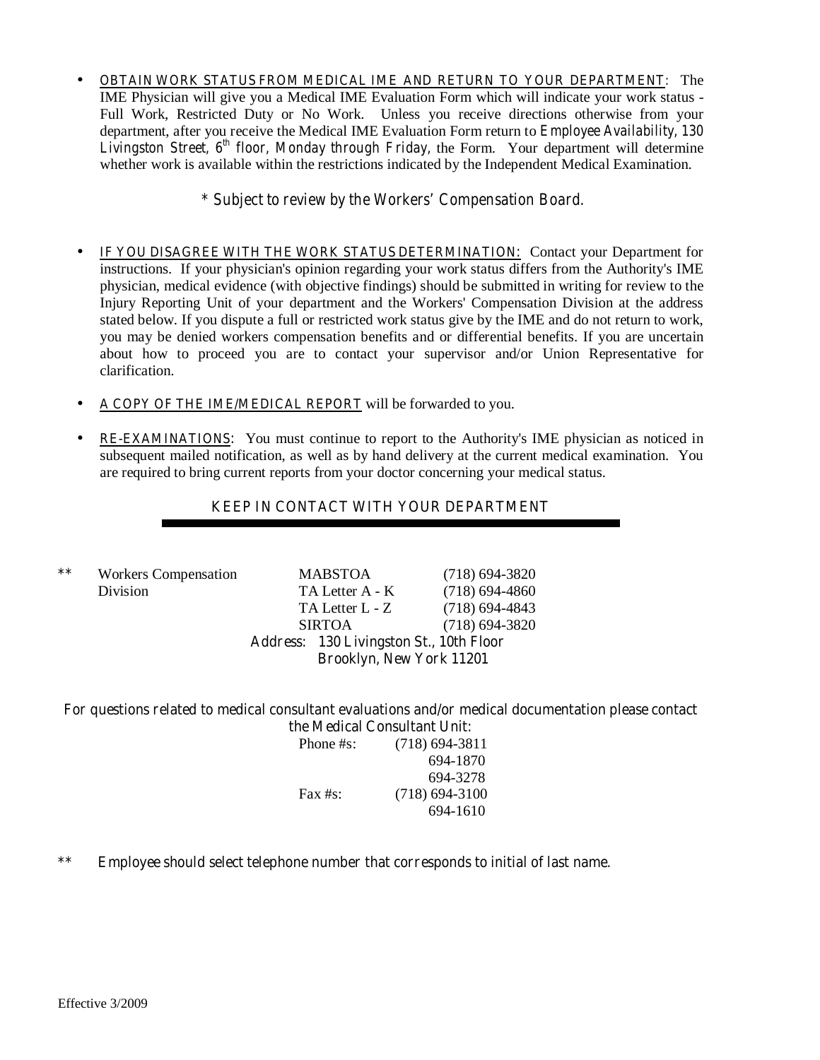• **OBTAIN WORK STATUS FROM MEDICAL IME AND RETURN TO YOUR DEPARTMENT:** The IME Physician will give you a Medical IME Evaluation Form which will indicate your work status - Full Work, Restricted Duty or No Work. Unless you receive directions otherwise from your department, after you receive the Medical IME Evaluation Form return to *Employee Availability, 130 Livingston Street, 6th floor, Monday through Friday,* the Form. Your department will determine whether work is available within the restrictions indicated by the Independent Medical Examination.

### *\* Subject to review by the Workers' Compensation Board.*

- **IF YOU DISAGREE WITH THE WORK STATUS DETERMINATION:** Contact your Department for instructions. If your physician's opinion regarding your work status differs from the Authority's IME physician, medical evidence (with objective findings) should be submitted in writing for review to the Injury Reporting Unit of your department and the Workers' Compensation Division at the address stated below. If you dispute a full or restricted work status give by the IME and do not return to work, you may be denied workers compensation benefits and or differential benefits. If you are uncertain about how to proceed you are to contact your supervisor and/or Union Representative for clarification.
- **A COPY OF THE IME/MEDICAL REPORT** will be forwarded to you.
- **RE-EXAMINATIONS:** You must continue to report to the Authority's IME physician as noticed in subsequent mailed notification, as well as by hand delivery at the current medical examination. You are required to bring current reports from your doctor concerning your medical status.

## **KEEP IN CONTACT WITH YOUR DEPARTMENT**

|    |                             | <b>Address: 130 Livingston St., 10th Floor</b> |                  |
|----|-----------------------------|------------------------------------------------|------------------|
|    |                             | <b>SIRTOA</b>                                  | $(718)$ 694-3820 |
|    |                             | TA Letter L - Z                                | $(718)$ 694-4843 |
|    | <b>Division</b>             | TA Letter A - K                                | $(718)$ 694-4860 |
| ** | <b>Workers Compensation</b> | <b>MABSTOA</b>                                 | $(718)$ 694-3820 |

## **Brooklyn, New York 11201**

### **For questions related to medical consultant evaluations and/or medical documentation please contact the Medical Consultant Unit:**

| Phone #s:  | $(718)$ 694-3811 |
|------------|------------------|
|            | 694-1870         |
|            | 694-3278         |
| Fax $#s$ : | $(718)$ 694-3100 |
|            | 694-1610         |

### **\*\* Employee should select telephone number that corresponds to initial of last name.**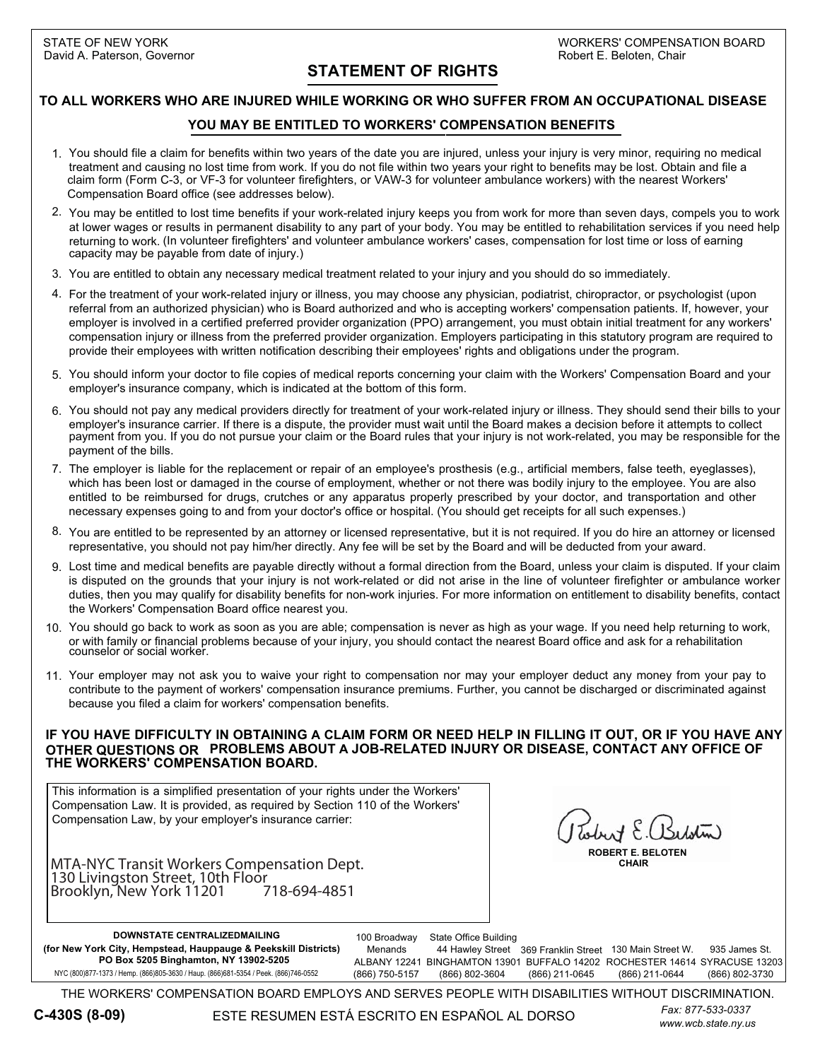## **STATEMENT OF RIGHTS**

### **TO ALL WORKERS WHO ARE INJURED WHILE WORKING OR WHO SUFFER FROM AN OCCUPATIONAL DISEASE**

### **YOU MAY BE ENTITLED TO WORKERS' COMPENSATION BENEFITS**

- 1. You should file a claim for benefits within two years of the date you are injured, unless your injury is very minor, requiring no medical treatment and causing no lost time from work. If you do not file within two years your right to benefits may be lost. Obtain and file a claim form (Form C-3, or VF-3 for volunteer firefighters, or VAW-3 for volunteer ambulance workers) with the nearest Workers' Compensation Board office (see addresses below).
- You may be entitled to lost time benefits if your work-related injury keeps you from work for more than seven days, compels you to work 2. at lower wages or results in permanent disability to any part of your body. You may be entitled to rehabilitation services if you need help returning to work. (In volunteer firefighters' and volunteer ambulance workers' cases, compensation for lost time or loss of earning capacity may be payable from date of injury.)
- You are entitled to obtain any necessary medical treatment related to your injury and you should do so immediately. 3.
- 4. For the treatment of your work-related injury or illness, you may choose any physician, podiatrist, chiropractor, or psychologist (upon referral from an authorized physician) who is Board authorized and who is accepting workers' compensation patients. If, however, your employer is involved in a certified preferred provider organization (PPO) arrangement, you must obtain initial treatment for any workers' compensation injury or illness from the preferred provider organization. Employers participating in this statutory program are required to provide their employees with written notification describing their employees' rights and obligations under the program.
- 5. You should inform your doctor to file copies of medical reports concerning your claim with the Workers' Compensation Board and your employer's insurance company, which is indicated at the bottom of this form.
- 6. You should not pay any medical providers directly for treatment of your work-related injury or illness. They should send their bills to your employer's insurance carrier. If there is a dispute, the provider must wait until the Board makes a decision before it attempts to collect payment from you. If you do not pursue your claim or the Board rules that your injury is not work-related, you may be responsible for the payment of the bills.
- 7. The employer is liable for the replacement or repair of an employee's prosthesis (e.g., artificial members, false teeth, eyeglasses), which has been lost or damaged in the course of employment, whether or not there was bodily injury to the employee. You are also entitled to be reimbursed for drugs, crutches or any apparatus properly prescribed by your doctor, and transportation and other necessary expenses going to and from your doctor's office or hospital. (You should get receipts for all such expenses.)
- 8. You are entitled to be represented by an attorney or licensed representative, but it is not required. If you do hire an attorney or licensed representative, you should not pay him/her directly. Any fee will be set by the Board and will be deducted from your award.
- Lost time and medical benefits are payable directly without a formal direction from the Board, unless your claim is disputed. If your claim 9. is disputed on the grounds that your injury is not work-related or did not arise in the line of volunteer firefighter or ambulance worker duties, then you may qualify for disability benefits for non-work injuries. For more information on entitlement to disability benefits, contact the Workers' Compensation Board office nearest you.
- 10. You should go back to work as soon as you are able; compensation is never as high as your wage. If you need help returning to work, or with family or financial problems because of your injury, you should contact the nearest Board office and ask for a rehabilitation counselor or social worker.
- 11. Your employer may not ask you to waive your right to compensation nor may your employer deduct any money from your pay to contribute to the payment of workers' compensation insurance premiums. Further, you cannot be discharged or discriminated against because you filed a claim for workers' compensation benefits.

### **IF YOU HAVE DIFFICULTY IN OBTAINING A CLAIM FORM OR NEED HELP IN FILLING IT OUT, OR IF YOU HAVE ANY OTHER QUESTIONS OR PROBLEMS ABOUT A JOB-RELATED INJURY OR DISEASE, CONTACT ANY OFFICE OF THE WORKERS' COMPENSATION BOARD.**

This information is a simplified presentation of your rights under the Workers' Compensation Law. It is provided, as required by Section 110 of the Workers' Compensation Law, by your employer's insurance carrier:

(Insert Name and Address of Insurance Carrier) Brooklyn, New York 11201 718-694-4851(Insert Name and Address of Insurance Carrier) **ROBERT E. BELOTEN** Insert name and address of insurance carrier **CHAIR** MTA-NYC Transit Workers Compensation Dept. 130 Livingston Street, 10th Floor

Kobert E. Belotin

935 James St. ALBANY 12241 BINGHAMTON 13901 BUFFALO 14202 ROCHESTER 14614 SYRACUSE 13203 (866) 802-3730 100 Broadway Menands (866) 750-5157 44 Hawley Street 369 Franklin Street 130 Main Street W. (866) 211-0645 (866) 211-0644 State Office Building (866) 802-3604 **DOWNSTATE CENTRALIZEDMAILING (for New York City, Hempstead, Hauppauge & Peekskill Districts) PO Box 5205 Binghamton, NY 13902-5205** NYC (800)877-1373 / Hemp. (866)805-3630 / Haup. (866)681-5354 / Peek. (866)746-0552

THE WORKERS' COMPENSATION BOARD EMPLOYS AND SERVES PEOPLE WITH DISABILITIES WITHOUT DISCRIMINATION.

ESTE RESUMEN ESTÁ ESCRITO EN ESPAÑOL AL DORSO

*www.wcb.state.ny.us Fax: 877-533-0337*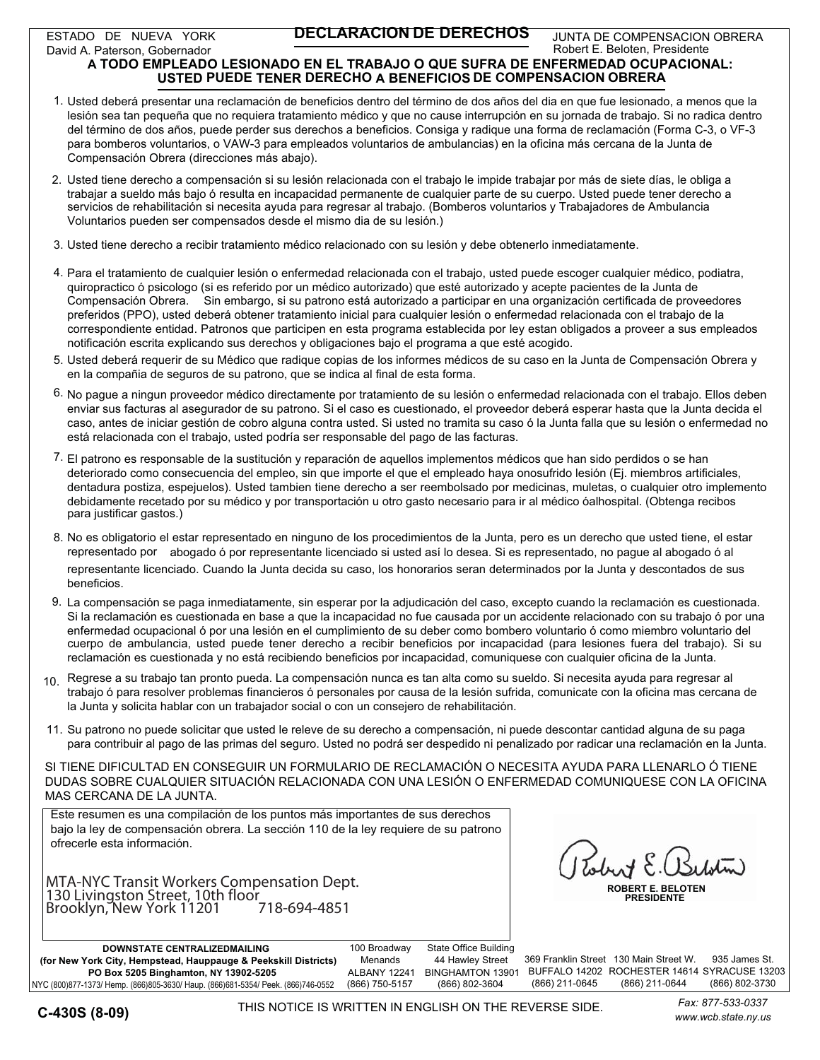ESTADO DE NUEVA YORK David A. Paterson, Gobernador

### **DECLARACION DE DERECHOS**

JUNTA DE COMPENSACION OBRERA Robert E. Beloten, Presidente

### **A TODO EMPLEADO LESIONADO EN EL TRABAJO O QUE SUFRA DE ENFERMEDAD OCUPACIONAL: USTED PUEDE TENER DERECHO A BENEFICIOS DE COMPENSACION OBRERA**

- 1. Usted deberá presentar una reclamación de beneficios dentro del término de dos años del dia en que fue lesionado, a menos que la lesión sea tan pequeña que no requiera tratamiento médico y que no cause interrupción en su jornada de trabajo. Si no radica dentro del término de dos años, puede perder sus derechos a beneficios. Consiga y radique una forma de reclamación (Forma C-3, o VF-3 para bomberos voluntarios, o VAW-3 para empleados voluntarios de ambulancias) en la oficina más cercana de la Junta de Compensación Obrera (direcciones más abajo).
- 2. Usted tiene derecho a compensación si su lesión relacionada con el trabajo le impide trabajar por más de siete días, le obliga a trabajar a sueldo más bajo ó resulta en incapacidad permanente de cualquier parte de su cuerpo. Usted puede tener derecho a servicios de rehabilitación si necesita ayuda para regresar al trabajo. (Bomberos voluntarios y Trabajadores de Ambulancia Voluntarios pueden ser compensados desde el mismo dia de su lesión.)
- 3. Usted tiene derecho a recibir tratamiento médico relacionado con su lesión y debe obtenerlo inmediatamente.
- 4. Para el tratamiento de cualquier lesión o enfermedad relacionada con el trabajo, usted puede escoger cualquier médico, podiatra, quiropractico ó psicologo (si es referido por un médico autorizado) que esté autorizado y acepte pacientes de la Junta de Compensación Obrera. Sin embargo, si su patrono está autorizado a participar en una organización certificada de proveedores preferidos (PPO), usted deberá obtener tratamiento inicial para cualquier lesión o enfermedad relacionada con el trabajo de la correspondiente entidad. Patronos que participen en esta programa establecida por ley estan obligados a proveer a sus empleados notificación escrita explicando sus derechos y obligaciones bajo el programa a que esté acogido.
- 5. Usted deberá requerir de su Médico que radique copias de los informes médicos de su caso en la Junta de Compensación Obrera y en la compañia de seguros de su patrono, que se indica al final de esta forma.
- 6. No pague a ningun proveedor médico directamente por tratamiento de su lesión o enfermedad relacionada con el trabajo. Ellos deben enviar sus facturas al asegurador de su patrono. Si el caso es cuestionado, el proveedor deberá esperar hasta que la Junta decida el caso, antes de iniciar gestión de cobro alguna contra usted. Si usted no tramita su caso ó la Junta falla que su lesión o enfermedad no está relacionada con el trabajo, usted podría ser responsable del pago de las facturas.
- <sup>7.</sup> El patrono es responsable de la sustitución y reparación de aquellos implementos médicos que han sido perdidos o se han deteriorado como consecuencia del empleo, sin que importe el que el empleado haya onosufrido lesión (Ej. miembros artificiales, dentadura postiza, espejuelos). Usted tambien tiene derecho a ser reembolsado por medicinas, muletas, o cualquier otro implemento debidamente recetado por su médico y por transportación u otro gasto necesario para ir al médico óalhospital. (Obtenga recibos para justificar gastos.)
- 8. No es obligatorio el estar representado en ninguno de los procedimientos de la Junta, pero es un derecho que usted tiene, el estar representado por abogado ó por representante licenciado si usted así lo desea. Si es representado, no pague al abogado ó al representante licenciado. Cuando la Junta decida su caso, los honorarios seran determinados por la Junta y descontados de sus beneficios.
- 9. La compensación se paga inmediatamente, sin esperar por la adjudicación del caso, excepto cuando la reclamación es cuestionada. Si la reclamación es cuestionada en base a que la incapacidad no fue causada por un accidente relacionado con su trabajo ó por una enfermedad ocupacional ó por una lesión en el cumplimiento de su deber como bombero voluntario ó como miembro voluntario del cuerpo de ambulancia, usted puede tener derecho a recibir beneficios por incapacidad (para lesiones fuera del trabajo). Si su reclamación es cuestionada y no está recibiendo beneficios por incapacidad, comuniquese con cualquier oficina de la Junta.
- $_{10.}$  Regrese a su trabajo tan pronto pueda. La compensación nunca es tan alta como su sueldo. Si necesita ayuda para regresar al trabajo ó para resolver problemas financieros ó personales por causa de la lesión sufrida, comunicate con la oficina mas cercana de la Junta y solicita hablar con un trabajador social o con un consejero de rehabilitación.
- 11. Su patrono no puede solicitar que usted le releve de su derecho a compensación, ni puede descontar cantidad alguna de su paga para contribuir al pago de las primas del seguro. Usted no podrá ser despedido ni penalizado por radicar una reclamación en la Junta.

SI TIENE DIFICULTAD EN CONSEGUIR UN FORMULARIO DE RECLAMACIÓN O NECESITA AYUDA PARA LLENARLO Ó TIENE DUDAS SOBRE CUALQUIER SITUACIÓN RELACIONADA CON UNA LESIÓN O ENFERMEDAD COMUNIQUESE CON LA OFICINA MAS CERCANA DE LA JUNTA.

Este resumen es una compilación de los puntos más importantes de sus derechos bajo la ley de compensación obrera. La sección 110 de la ley requiere de su patrono ofrecerle esta información.

**COMPANIA DE COMPAÑIA DE SEGUROS DE COMPANIA DE SEGUROS DE SEGUROS DE SEGUROS DE COMPANIA DE SEGUROS DE SEGUROS**<br>130 Livingston Street, 10th floor<br>Brooklyn, New York 11201 718-694-4851 MTA-NYC Transit Workers Compensation Dept. Brooklyn, New York 11201 718-694-4851

 $\overline{\phantom{a}}$  $\sqrt{2}$ 

| DOWNSTATE CENTRALIZEDMAILING                                                     | 100 Broadway   | State Office Building |                |                                              |                |
|----------------------------------------------------------------------------------|----------------|-----------------------|----------------|----------------------------------------------|----------------|
| (for New York City, Hempstead, Hauppauge & Peekskill Districts)                  | Menands        | 44 Hawlev Street      |                | 369 Franklin Street 130 Main Street W.       | 935 James St.  |
| PO Box 5205 Binghamton, NY 13902-5205                                            | ALBANY 12241   | BINGHAMTON 13901      |                | BUFFALO 14202 ROCHESTER 14614 SYRACUSE 13203 |                |
| NYC (800)877-1373/ Hemp. (866)805-3630/ Haup. (866)681-5354/ Peek. (866)746-0552 | (866) 750-5157 | (866) 802-3604        | (866) 211-0645 | (866) 211-0644                               | (866) 802-3730 |

THIS NOTICE IS WRITTEN IN ENGLISH ON THE REVERSE SIDE.

*www.wcb.state.ny.us Fax: 877-533-0337*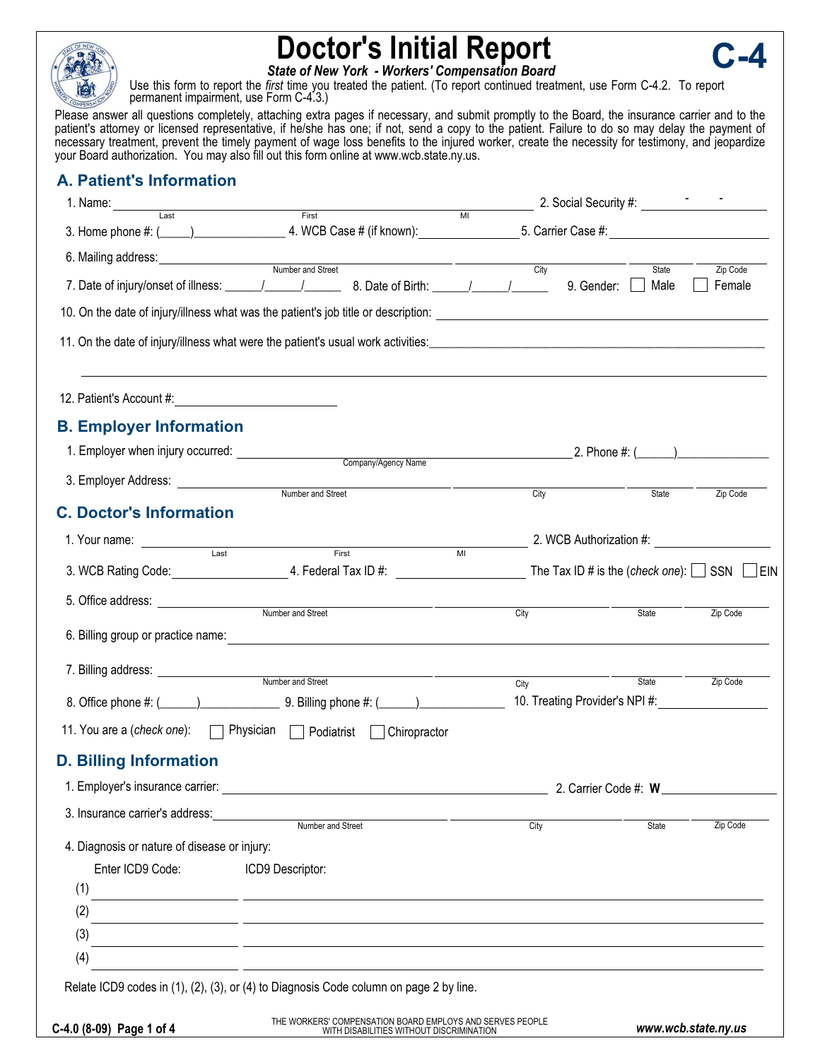

# **Doctor's Initial Report**

**C-4**

*State of New York - Workers' Compensation Board*

Use this form to report the *first* time you treated the patient. (To report continued treatment, use Form C-4.2. To report permanent impairment, use Form C-4.3.)

Please answer all questions completely, attaching extra pages if necessary, and submit promptly to the Board, the insurance carrier and to the patient's attorney or licensed representative, if he/she has one; if not, send a copy to the patient. Failure to do so may delay the payment of necessary treatment, prevent the timely payment of wage loss benefits to the injured worker, create the necessity for testimony, and jeopardize your Board authorization. You may also fill out this form online at www.wcb.state.ny.us.

## **A. Patient's Information**

| 1. Name: Last First                                                                                                                                                                                                                             |                                                           |                |                                                                        |               |                     |
|-------------------------------------------------------------------------------------------------------------------------------------------------------------------------------------------------------------------------------------------------|-----------------------------------------------------------|----------------|------------------------------------------------------------------------|---------------|---------------------|
|                                                                                                                                                                                                                                                 |                                                           | $\overline{M}$ |                                                                        |               |                     |
|                                                                                                                                                                                                                                                 |                                                           |                |                                                                        |               |                     |
| Number and Street                                                                                                                                                                                                                               |                                                           |                | City<br>9. Gender:                                                     | State<br>Male | Zip Code<br>Female  |
|                                                                                                                                                                                                                                                 |                                                           |                |                                                                        |               |                     |
| 11. On the date of injury/illness what were the patient's usual work activities: example and a series of induction of the patient's usual work activities:                                                                                      |                                                           |                |                                                                        |               |                     |
|                                                                                                                                                                                                                                                 |                                                           |                |                                                                        |               |                     |
| 12. Patient's Account #:                                                                                                                                                                                                                        |                                                           |                |                                                                        |               |                     |
| <b>B. Employer Information</b>                                                                                                                                                                                                                  |                                                           |                |                                                                        |               |                     |
|                                                                                                                                                                                                                                                 |                                                           |                |                                                                        |               |                     |
| 3. Employer Address:                                                                                                                                                                                                                            |                                                           |                |                                                                        |               |                     |
| <b>C. Doctor's Information</b>                                                                                                                                                                                                                  | Number and Street                                         |                | City                                                                   | State         | Zip Code            |
|                                                                                                                                                                                                                                                 |                                                           |                |                                                                        |               |                     |
| 1. Your name:<br>and the set of the set of the set of the set of the set of the set of the set of the set of the set of the set of the set of the set of the set of the set of the set of the set of the set of the set of the set of the set o |                                                           | $\overline{M}$ | 2. WCB Authorization #:                                                |               |                     |
| 3. WCB Rating Code: _______________________________4. Federal Tax ID #: ___________________________The Tax ID # is the (check one): $\Box$ SSN $\Box$ EIN                                                                                       |                                                           |                |                                                                        |               |                     |
|                                                                                                                                                                                                                                                 |                                                           | City           |                                                                        | State         | Zip Code            |
|                                                                                                                                                                                                                                                 |                                                           |                |                                                                        |               |                     |
|                                                                                                                                                                                                                                                 |                                                           |                |                                                                        |               |                     |
|                                                                                                                                                                                                                                                 |                                                           | City           | 10. Treating Provider's NPI #: \\connection Treating Provider's NPI #: | State         | Zip Code            |
|                                                                                                                                                                                                                                                 |                                                           |                |                                                                        |               |                     |
| 11. You are a (check one):   Physician   Podiatrist   Chiropractor                                                                                                                                                                              |                                                           |                |                                                                        |               |                     |
| <b>D. Billing Information</b>                                                                                                                                                                                                                   |                                                           |                |                                                                        |               |                     |
| 1. Employer's insurance carrier:                                                                                                                                                                                                                |                                                           |                | 2. Carrier Code #: W                                                   |               |                     |
| 3. Insurance carrier's address:<br>Number and Street                                                                                                                                                                                            |                                                           |                | City                                                                   | <b>State</b>  | Zip Code            |
| 4. Diagnosis or nature of disease or injury:                                                                                                                                                                                                    |                                                           |                |                                                                        |               |                     |
| Enter ICD9 Code:<br>ICD9 Descriptor:                                                                                                                                                                                                            |                                                           |                |                                                                        |               |                     |
| (1)<br><u> 1989 - Johann John Stone, markin film yn y brening yn y brening yn y brening yn y brening y brening yn y bre</u>                                                                                                                     |                                                           |                |                                                                        |               |                     |
| (2)                                                                                                                                                                                                                                             |                                                           |                |                                                                        |               |                     |
| (3)                                                                                                                                                                                                                                             |                                                           |                |                                                                        |               |                     |
| (4)                                                                                                                                                                                                                                             |                                                           |                |                                                                        |               |                     |
| Relate ICD9 codes in (1), (2), (3), or (4) to Diagnosis Code column on page 2 by line.                                                                                                                                                          |                                                           |                |                                                                        |               |                     |
|                                                                                                                                                                                                                                                 | THE WORKERS' COMPENSATION BOARD EMPLOYS AND SERVES PEOPLE |                |                                                                        |               |                     |
| C-4.0 (8-09) Page 1 of 4                                                                                                                                                                                                                        | WITH DISABILITIES WITHOUT DISCRIMINATION                  |                |                                                                        |               | www.wcb.state.ny.us |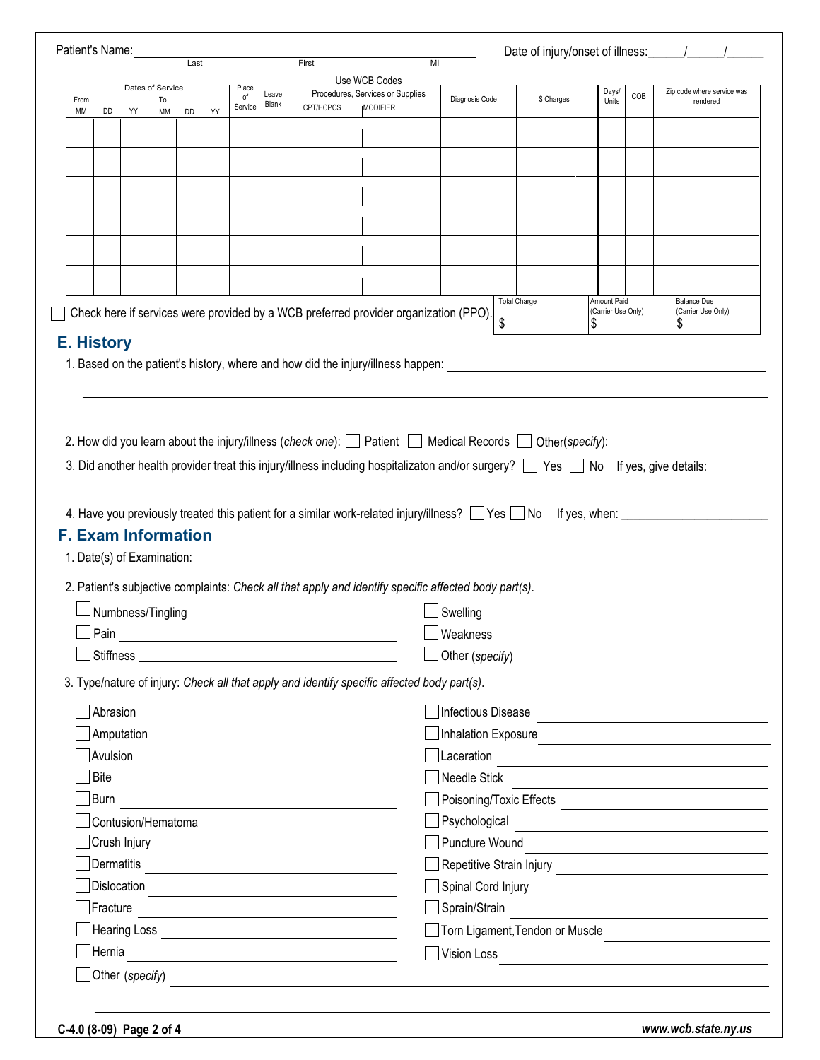| Patient's Name: |            |    |                            |                          |    |             |       |                                                                                                                                                                                                                                      |                                                                                                                                |                       | Date of injury/onset of illness: \[\sqrtdgg \]                                                                       |                                   |     |                                                                                                                                                                                                                                |
|-----------------|------------|----|----------------------------|--------------------------|----|-------------|-------|--------------------------------------------------------------------------------------------------------------------------------------------------------------------------------------------------------------------------------------|--------------------------------------------------------------------------------------------------------------------------------|-----------------------|----------------------------------------------------------------------------------------------------------------------|-----------------------------------|-----|--------------------------------------------------------------------------------------------------------------------------------------------------------------------------------------------------------------------------------|
|                 |            |    |                            | $\overline{\text{Last}}$ |    |             |       | First<br>MI<br>Use WCB Codes                                                                                                                                                                                                         |                                                                                                                                |                       |                                                                                                                      |                                   |     |                                                                                                                                                                                                                                |
| From            |            |    | Dates of Service<br>To     |                          |    | Place<br>οf | Leave |                                                                                                                                                                                                                                      | Procedures, Services or Supplies                                                                                               | Diagnosis Code        | \$ Charges                                                                                                           | Days/                             | COB | Zip code where service was<br>rendered                                                                                                                                                                                         |
| МM              | DD         | YY | MM                         | DD                       | YY | Service     | Blank | CPT/HCPCS                                                                                                                                                                                                                            | <b>IMODIFIER</b>                                                                                                               |                       |                                                                                                                      | Units                             |     |                                                                                                                                                                                                                                |
|                 |            |    |                            |                          |    |             |       |                                                                                                                                                                                                                                      |                                                                                                                                |                       |                                                                                                                      |                                   |     |                                                                                                                                                                                                                                |
|                 |            |    |                            |                          |    |             |       |                                                                                                                                                                                                                                      |                                                                                                                                |                       |                                                                                                                      |                                   |     |                                                                                                                                                                                                                                |
|                 |            |    |                            |                          |    |             |       |                                                                                                                                                                                                                                      |                                                                                                                                |                       |                                                                                                                      |                                   |     |                                                                                                                                                                                                                                |
|                 |            |    |                            |                          |    |             |       |                                                                                                                                                                                                                                      |                                                                                                                                |                       |                                                                                                                      |                                   |     |                                                                                                                                                                                                                                |
|                 |            |    |                            |                          |    |             |       |                                                                                                                                                                                                                                      |                                                                                                                                |                       |                                                                                                                      |                                   |     |                                                                                                                                                                                                                                |
|                 |            |    |                            |                          |    |             |       |                                                                                                                                                                                                                                      |                                                                                                                                |                       |                                                                                                                      |                                   |     |                                                                                                                                                                                                                                |
|                 |            |    |                            |                          |    |             |       |                                                                                                                                                                                                                                      |                                                                                                                                |                       |                                                                                                                      |                                   |     |                                                                                                                                                                                                                                |
|                 |            |    |                            |                          |    |             |       |                                                                                                                                                                                                                                      |                                                                                                                                |                       |                                                                                                                      |                                   |     |                                                                                                                                                                                                                                |
|                 |            |    |                            |                          |    |             |       |                                                                                                                                                                                                                                      | Check here if services were provided by a WCB preferred provider organization (PPO).                                           |                       | <b>Total Charge</b>                                                                                                  | Amount Paid<br>(Carrier Use Only) |     | <b>Balance Due</b><br>(Carrier Use Only)                                                                                                                                                                                       |
|                 |            |    |                            |                          |    |             |       |                                                                                                                                                                                                                                      |                                                                                                                                | \$                    |                                                                                                                      | \$                                |     | \$                                                                                                                                                                                                                             |
|                 |            |    |                            |                          |    |             |       |                                                                                                                                                                                                                                      | 2. How did you learn about the injury/illness (check one): $\Box$ Patient $\Box$ Medical Records $\Box$ Other(specify):        |                       |                                                                                                                      |                                   |     |                                                                                                                                                                                                                                |
|                 |            |    |                            |                          |    |             |       |                                                                                                                                                                                                                                      | 3. Did another health provider treat this injury/illness including hospitalizaton and/or surgery? Ses No If yes, give details: |                       |                                                                                                                      |                                   |     |                                                                                                                                                                                                                                |
|                 |            |    | <b>F. Exam Information</b> |                          |    |             |       |                                                                                                                                                                                                                                      |                                                                                                                                |                       |                                                                                                                      |                                   |     |                                                                                                                                                                                                                                |
|                 |            |    |                            |                          |    |             |       |                                                                                                                                                                                                                                      | 2. Patient's subjective complaints: Check all that apply and identify specific affected body part(s).                          |                       |                                                                                                                      |                                   |     |                                                                                                                                                                                                                                |
|                 |            |    | Numbness/Tingling          |                          |    |             |       | <u> 1989 - Johann Stein, mars an deus Amerikaansk kommunister (</u>                                                                                                                                                                  |                                                                                                                                |                       |                                                                                                                      |                                   |     | 4. Have you previously treated this patient for a similar work-related injury/illness? Some Section Motor Resumment Content Connect Assemble. At the Section Assemble. At the Section Assemble. At the Section Assemble. At th |
|                 | Pain       |    |                            |                          |    |             |       |                                                                                                                                                                                                                                      |                                                                                                                                | Weakness              |                                                                                                                      |                                   |     |                                                                                                                                                                                                                                |
|                 |            |    |                            |                          |    |             |       | Stiffness et al. 2006 and 2007 and 2008 and 2008 and 2008 and 2008 and 2008 and 2008 and 2008 and 2008 and 200                                                                                                                       |                                                                                                                                |                       |                                                                                                                      |                                   |     |                                                                                                                                                                                                                                |
|                 |            |    |                            |                          |    |             |       |                                                                                                                                                                                                                                      | 3. Type/nature of injury: Check all that apply and identify specific affected body part(s).                                    |                       |                                                                                                                      |                                   |     |                                                                                                                                                                                                                                |
|                 | Abrasion   |    |                            |                          |    |             |       |                                                                                                                                                                                                                                      |                                                                                                                                | Infectious Disease    |                                                                                                                      |                                   |     |                                                                                                                                                                                                                                |
|                 |            |    |                            |                          |    |             |       |                                                                                                                                                                                                                                      |                                                                                                                                | Inhalation Exposure   |                                                                                                                      |                                   |     |                                                                                                                                                                                                                                |
|                 |            |    |                            |                          |    |             |       |                                                                                                                                                                                                                                      |                                                                                                                                |                       |                                                                                                                      |                                   |     |                                                                                                                                                                                                                                |
|                 |            |    |                            |                          |    |             |       | Bite <u>and the same of the same of the same of the same of the same of the same of the same of the same of the same of the same of the same of the same of the same of the same of the same of the same of the same of the same</u> |                                                                                                                                | Needle Stick          |                                                                                                                      |                                   |     |                                                                                                                                                                                                                                |
|                 | Burn       |    |                            |                          |    |             |       |                                                                                                                                                                                                                                      |                                                                                                                                |                       |                                                                                                                      |                                   |     |                                                                                                                                                                                                                                |
|                 |            |    |                            |                          |    |             |       |                                                                                                                                                                                                                                      |                                                                                                                                |                       |                                                                                                                      |                                   |     | Psychological experience and the contract of the contract of the contract of the contract of the contract of the contract of the contract of the contract of the contract of the contract of the contract of the contract of t |
|                 |            |    |                            |                          |    |             |       |                                                                                                                                                                                                                                      |                                                                                                                                | <b>Puncture Wound</b> |                                                                                                                      |                                   |     | the contract of the contract of the contract of the contract of the contract of                                                                                                                                                |
|                 | Dermatitis |    |                            |                          |    |             |       | <u> 1989 - John Stein, Amerikaansk politiker (</u>                                                                                                                                                                                   |                                                                                                                                |                       |                                                                                                                      |                                   |     |                                                                                                                                                                                                                                |
|                 |            |    |                            |                          |    |             |       |                                                                                                                                                                                                                                      |                                                                                                                                |                       |                                                                                                                      |                                   |     |                                                                                                                                                                                                                                |
|                 | Fracture   |    |                            |                          |    |             |       | the control of the control of the control of the control of the control of the control of                                                                                                                                            |                                                                                                                                | Sprain/Strain         |                                                                                                                      |                                   |     | the control of the control of the control of the control of the control of the control of                                                                                                                                      |
|                 | Hernia     |    |                            |                          |    |             |       | <u> 1980 - Johann Barbara, martin amerikan basal dan berasal dalam basal dalam basal dalam basal dalam basal dala</u>                                                                                                                |                                                                                                                                | Vision Loss           | <u> 1980 - Jan Stein Stein Stein Stein Stein Stein Stein Stein Stein Stein Stein Stein Stein Stein Stein Stein S</u> |                                   |     | Torn Ligament, Tendon or Muscle                                                                                                                                                                                                |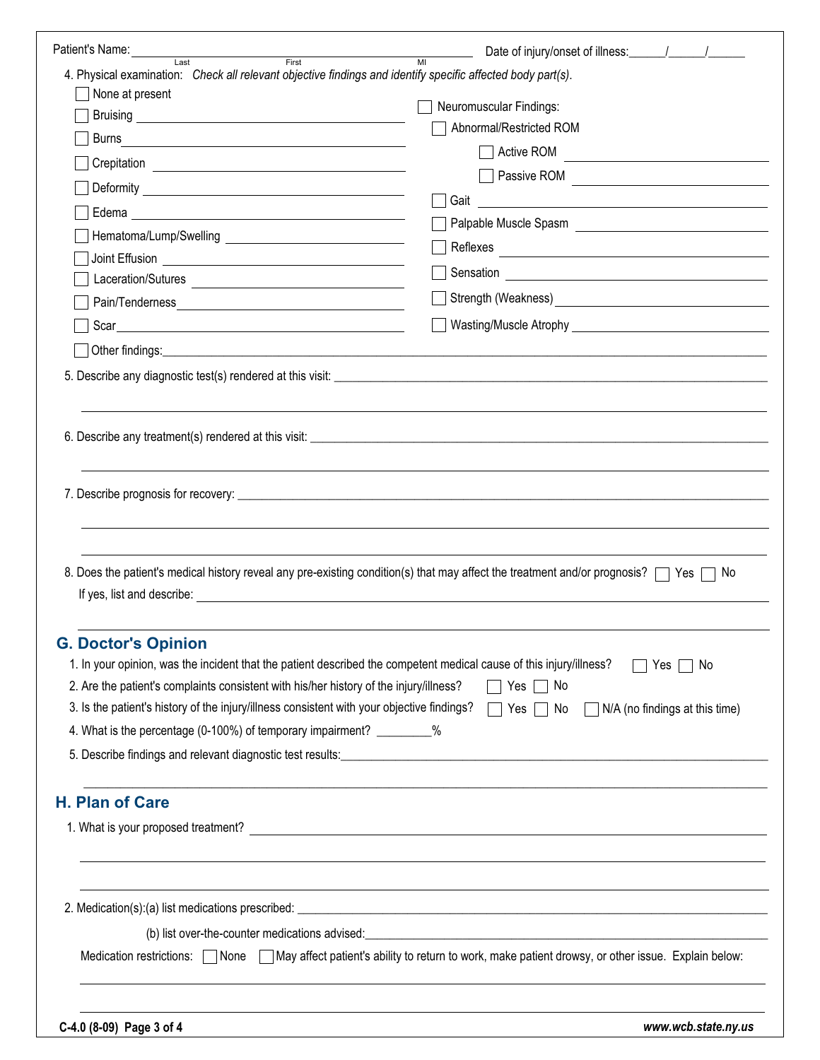| Patient's Name:                                                                                                                                                                                                                |                                                                                                                                                                                                                                |
|--------------------------------------------------------------------------------------------------------------------------------------------------------------------------------------------------------------------------------|--------------------------------------------------------------------------------------------------------------------------------------------------------------------------------------------------------------------------------|
| First<br>Last<br>4. Physical examination: Check all relevant objective findings and identify specific affected body part(s).                                                                                                   | $\overline{M}$                                                                                                                                                                                                                 |
| None at present                                                                                                                                                                                                                |                                                                                                                                                                                                                                |
|                                                                                                                                                                                                                                | Neuromuscular Findings:                                                                                                                                                                                                        |
| Burns<br><u> 1989 - Andrea Barbara, poeta esperanto-</u>                                                                                                                                                                       | Abnormal/Restricted ROM                                                                                                                                                                                                        |
|                                                                                                                                                                                                                                | Active ROM                                                                                                                                                                                                                     |
|                                                                                                                                                                                                                                |                                                                                                                                                                                                                                |
|                                                                                                                                                                                                                                | Gait<br><u> 1989 - Johann Stoff, fransk politik (d. 1989)</u>                                                                                                                                                                  |
|                                                                                                                                                                                                                                |                                                                                                                                                                                                                                |
|                                                                                                                                                                                                                                |                                                                                                                                                                                                                                |
|                                                                                                                                                                                                                                |                                                                                                                                                                                                                                |
|                                                                                                                                                                                                                                |                                                                                                                                                                                                                                |
|                                                                                                                                                                                                                                |                                                                                                                                                                                                                                |
|                                                                                                                                                                                                                                |                                                                                                                                                                                                                                |
|                                                                                                                                                                                                                                |                                                                                                                                                                                                                                |
|                                                                                                                                                                                                                                |                                                                                                                                                                                                                                |
|                                                                                                                                                                                                                                |                                                                                                                                                                                                                                |
|                                                                                                                                                                                                                                | 8. Does the patient's medical history reveal any pre-existing condition(s) that may affect the treatment and/or prognosis?<br>□ No                                                                                             |
| If yes, list and describe: example and the set of the set of the set of the set of the set of the set of the set of the set of the set of the set of the set of the set of the set of the set of the set of the set of the set |                                                                                                                                                                                                                                |
| <b>G. Doctor's Opinion</b>                                                                                                                                                                                                     |                                                                                                                                                                                                                                |
| 1. In your opinion, was the incident that the patient described the competent medical cause of this injury/illness?                                                                                                            | <b>Yes</b><br>No.                                                                                                                                                                                                              |
| 2. Are the patient's complaints consistent with his/her history of the injury/illness?                                                                                                                                         | $Yes \mid \text{No}$                                                                                                                                                                                                           |
| 3. Is the patient's history of the injury/illness consistent with your objective findings?                                                                                                                                     | N/A (no findings at this time)<br>$\Box$ No<br>Yes                                                                                                                                                                             |
| 4. What is the percentage (0-100%) of temporary impairment? __________%                                                                                                                                                        |                                                                                                                                                                                                                                |
|                                                                                                                                                                                                                                | 5. Describe findings and relevant diagnostic test results: Marian Change and Change and Change and Change and Change and Change and Change and Change and Change and Change and Change and Change and Change and Change and Ch |
| <b>H. Plan of Care</b>                                                                                                                                                                                                         |                                                                                                                                                                                                                                |
|                                                                                                                                                                                                                                |                                                                                                                                                                                                                                |
|                                                                                                                                                                                                                                |                                                                                                                                                                                                                                |
|                                                                                                                                                                                                                                |                                                                                                                                                                                                                                |
|                                                                                                                                                                                                                                | (b) list over-the-counter medications advised:<br>expansion of the counter medications advised:                                                                                                                                |
| Medication restrictions: [                                                                                                                                                                                                     | None May affect patient's ability to return to work, make patient drowsy, or other issue. Explain below:                                                                                                                       |
| C-4.0 (8-09) Page 3 of 4                                                                                                                                                                                                       | www.wcb.state.ny.us                                                                                                                                                                                                            |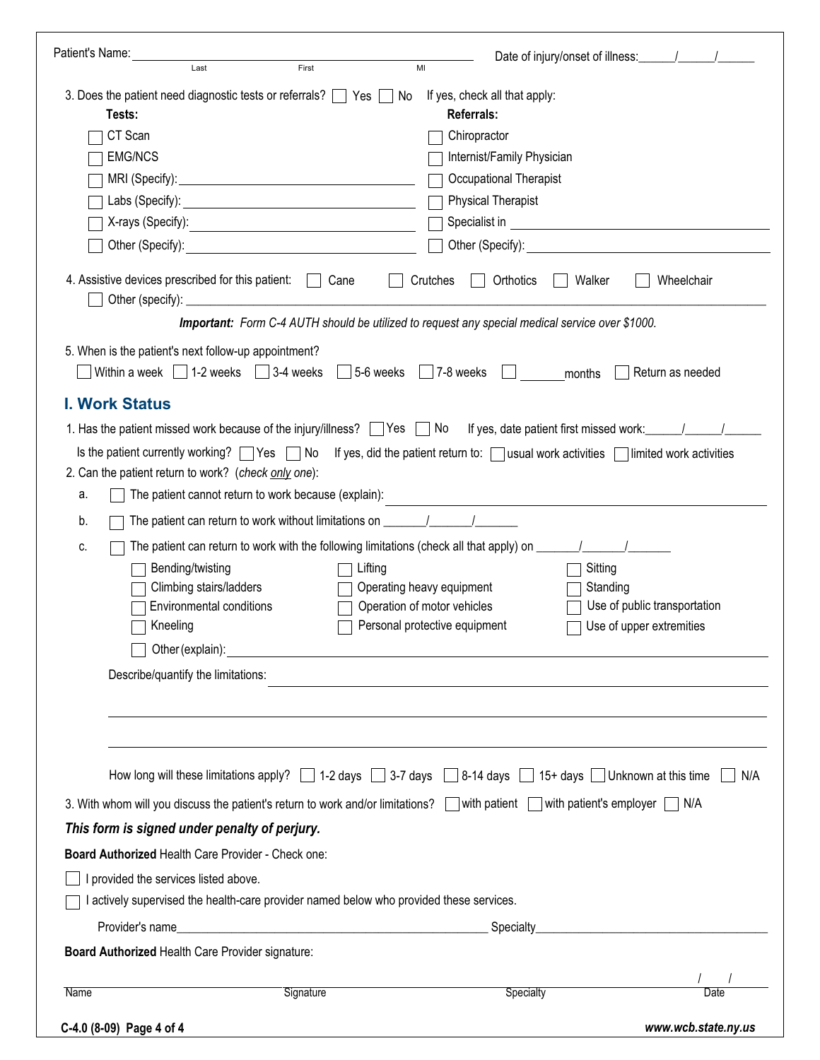| Patient's Name:                                                                                                                                                                                                                      | Date of injury/onset of illness: \[\squad \]                                                                                                                                                                                  |
|--------------------------------------------------------------------------------------------------------------------------------------------------------------------------------------------------------------------------------------|-------------------------------------------------------------------------------------------------------------------------------------------------------------------------------------------------------------------------------|
| Last<br>First                                                                                                                                                                                                                        | MI                                                                                                                                                                                                                            |
| 3. Does the patient need diagnostic tests or referrals? $\Box$ Yes $\Box$ No<br>Tests:                                                                                                                                               | If yes, check all that apply:<br><b>Referrals:</b>                                                                                                                                                                            |
| CT Scan                                                                                                                                                                                                                              | Chiropractor                                                                                                                                                                                                                  |
| <b>EMG/NCS</b>                                                                                                                                                                                                                       | Internist/Family Physician                                                                                                                                                                                                    |
|                                                                                                                                                                                                                                      | Occupational Therapist                                                                                                                                                                                                        |
| Labs (Specify): <u>contract and contract and contract and contract and contract and contract and contract and contract and contract and contract and contract and contract and contract and contract and contract and contract a</u> | <b>Physical Therapist</b>                                                                                                                                                                                                     |
|                                                                                                                                                                                                                                      |                                                                                                                                                                                                                               |
| Other (Specify): <u>contract and the set of the set of the set of the set of the set of the set of the set of the set of the set of the set of the set of the set of the set of the set of the set of the set of the set of the </u> | Other (Specify): The contract of the contract of the contract of the contract of the contract of the contract of the contract of the contract of the contract of the contract of the contract of the contract of the contract |
| 4. Assistive devices prescribed for this patient:<br>Cane<br>$\Box$                                                                                                                                                                  | Crutches<br>Orthotics<br>Walker<br>Wheelchair                                                                                                                                                                                 |
|                                                                                                                                                                                                                                      | <b>Important:</b> Form C-4 AUTH should be utilized to request any special medical service over \$1000.                                                                                                                        |
| 5. When is the patient's next follow-up appointment?                                                                                                                                                                                 |                                                                                                                                                                                                                               |
| Within a week $\begin{array}{ c c c c c } \hline \end{array}$ 1-2 weeks $\begin{array}{ c c c c c c } \hline \end{array}$ 3-4 weeks                                                                                                  | $5-6$ weeks $\sqrt{7-8}$ weeks<br><b>Indian American</b><br>Return as needed<br>months                                                                                                                                        |
| <b>I. Work Status</b>                                                                                                                                                                                                                |                                                                                                                                                                                                                               |
|                                                                                                                                                                                                                                      |                                                                                                                                                                                                                               |
|                                                                                                                                                                                                                                      | Is the patient currently working? <b>T</b> Yes <b>T</b> No If yes, did the patient return to: Tusual work activities Tlimited work activities                                                                                 |
| 2. Can the patient return to work? (check only one):                                                                                                                                                                                 |                                                                                                                                                                                                                               |
| The patient cannot return to work because (explain):<br>а.                                                                                                                                                                           |                                                                                                                                                                                                                               |
| The patient can return to work without limitations on ___________________________<br>b.                                                                                                                                              |                                                                                                                                                                                                                               |
| c.                                                                                                                                                                                                                                   | The patient can return to work with the following limitations (check all that apply) on $\frac{1}{\sqrt{1-\frac{1}{2}}}\$                                                                                                     |
| Bending/twisting                                                                                                                                                                                                                     | Sitting<br>Lifting                                                                                                                                                                                                            |
| Climbing stairs/ladders                                                                                                                                                                                                              | Operating heavy equipment<br>Standing                                                                                                                                                                                         |
| Environmental conditions                                                                                                                                                                                                             | Operation of motor vehicles<br>Use of public transportation                                                                                                                                                                   |
| Kneeling                                                                                                                                                                                                                             | Personal protective equipment<br>Use of upper extremities                                                                                                                                                                     |
| Other (explain):                                                                                                                                                                                                                     |                                                                                                                                                                                                                               |
| Describe/quantify the limitations:                                                                                                                                                                                                   |                                                                                                                                                                                                                               |
|                                                                                                                                                                                                                                      |                                                                                                                                                                                                                               |
|                                                                                                                                                                                                                                      |                                                                                                                                                                                                                               |
|                                                                                                                                                                                                                                      | How long will these limitations apply? $\Box$ 1-2 days $\Box$ 3-7 days $\Box$ 8-14 days $\Box$ 15+ days $\Box$ Unknown at this time<br>N/A                                                                                    |
|                                                                                                                                                                                                                                      | 3. With whom will you discuss the patient's return to work and/or limitations? With patient Muth patient's employer MIVA                                                                                                      |
|                                                                                                                                                                                                                                      |                                                                                                                                                                                                                               |
| This form is signed under penalty of perjury.                                                                                                                                                                                        |                                                                                                                                                                                                                               |
| Board Authorized Health Care Provider - Check one:                                                                                                                                                                                   |                                                                                                                                                                                                                               |
| I provided the services listed above.                                                                                                                                                                                                |                                                                                                                                                                                                                               |
| actively supervised the health-care provider named below who provided these services.                                                                                                                                                |                                                                                                                                                                                                                               |
|                                                                                                                                                                                                                                      | Specialty                                                                                                                                                                                                                     |
| Board Authorized Health Care Provider signature:                                                                                                                                                                                     |                                                                                                                                                                                                                               |
| Signature<br><b>Name</b>                                                                                                                                                                                                             | Specialty<br>Date                                                                                                                                                                                                             |
|                                                                                                                                                                                                                                      |                                                                                                                                                                                                                               |
| C-4.0 (8-09) Page 4 of 4                                                                                                                                                                                                             | www.wcb.state.ny.us                                                                                                                                                                                                           |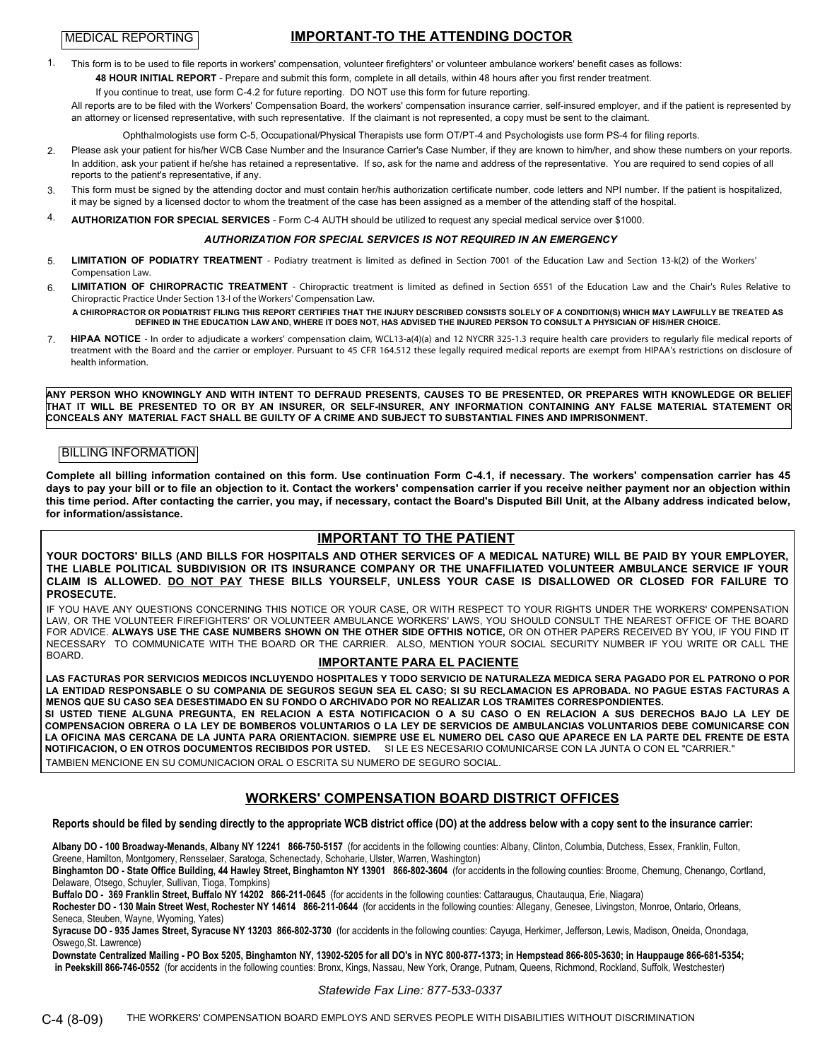### **IMPORTANT-TO THE ATTENDING DOCTOR**

1. This form is to be used to file reports in workers' compensation, volunteer firefighters' or volunteer ambulance workers' benefit cases as follows: **48 HOUR INITIAL REPORT** - Prepare and submit this form, complete in all details, within 48 hours after you first render treatment.

If you continue to treat, use form C-4.2 for future reporting. DO NOT use this form for future reporting.

All reports are to be filed with the Workers' Compensation Board, the workers' compensation insurance carrier, self-insured employer, and if the patient is represented by an attorney or licensed representative, with such representative. If the claimant is not represented, a copy must be sent to the claimant.

Ophthalmologists use form C-5, Occupational/Physical Therapists use form OT/PT-4 and Psychologists use form PS-4 for filing reports.

- 2. Please ask your patient for his/her WCB Case Number and the Insurance Carrier's Case Number, if they are known to him/her, and show these numbers on your reports. In addition, ask your patient if he/she has retained a representative. If so, ask for the name and address of the representative. You are required to send copies of all reports to the patient's representative, if any.
- This form must be signed by the attending doctor and must contain her/his authorization certificate number, code letters and NPI number. If the patient is hospitalized, it may be signed by a licensed doctor to whom the treatment of the case has been assigned as a member of the attending staff of the hospital. 3.

### 4. **AUTHORIZATION FOR SPECIAL SERVICES** - Form C-4 AUTH should be utilized to request any special medical service over \$1000.

### *AUTHORIZATION FOR SPECIAL SERVICES IS NOT REQUIRED IN AN EMERGENCY*

- 5. **LIMITATION OF PODIATRY TREATMENT** - Podiatry treatment is limited as defined in Section 7001 of the Education Law and Section 13-k(2) of the Workers' Compensation Law.
- 6. LIMITATION OF CHIROPRACTIC TREATMENT - Chiropractic treatment is limited as defined in Section 6551 of the Education Law and the Chair's Rules Relative to Chiropractic Practice Under Section 13-l of the Workers' Compensation Law.

**A CHIROPRACTOR OR PODIATRIST FILING THIS REPORT CERTIFIES THAT THE INJURY DESCRIBED CONSISTS SOLELY OF A CONDITION(S) WHICH MAY LAWFULLY BE TREATED AS DEFINED IN THE EDUCATION LAW AND, WHERE IT DOES NOT, HAS ADVISED THE INJURED PERSON TO CONSULT A PHYSICIAN OF HIS/HER CHOICE.**

7. HIPAA NOTICE - In order to adjudicate a workers' compensation claim, WCL13-a(4)(a) and 12 NYCRR 325-1.3 require health care providers to regularly file medical reports of treatment with the Board and the carrier or employer. Pursuant to 45 CFR 164.512 these legally required medical reports are exempt from HIPAA's restrictions on disclosure of health information.

**ANY PERSON WHO KNOWINGLY AND WITH INTENT TO DEFRAUD PRESENTS, CAUSES TO BE PRESENTED, OR PREPARES WITH KNOWLEDGE OR BELIEF THAT IT WILL BE PRESENTED TO OR BY AN INSURER, OR SELF-INSURER, ANY INFORMATION CONTAINING ANY FALSE MATERIAL STATEMENT OR CONCEALS ANY MATERIAL FACT SHALL BE GUILTY OF A CRIME AND SUBJECT TO SUBSTANTIAL FINES AND IMPRISONMENT.**

### BILLING INFORMATION

**Complete all billing information contained on this form. Use continuation Form C-4.1, if necessary. The workers' compensation carrier has 45 days to pay your bill or to file an objection to it. Contact the workers' compensation carrier if you receive neither payment nor an objection within this time period. After contacting the carrier, you may, if necessary, contact the Board's Disputed Bill Unit, at the Albany address indicated below, for information/assistance.**

### **IMPORTANT TO THE PATIENT**

**YOUR DOCTORS' BILLS (AND BILLS FOR HOSPITALS AND OTHER SERVICES OF A MEDICAL NATURE) WILL BE PAID BY YOUR EMPLOYER, THE LIABLE POLITICAL SUBDIVISION OR ITS INSURANCE COMPANY OR THE UNAFFILIATED VOLUNTEER AMBULANCE SERVICE IF YOUR CLAIM IS ALLOWED. DO NOT PAY THESE BILLS YOURSELF, UNLESS YOUR CASE IS DISALLOWED OR CLOSED FOR FAILURE TO PROSECUTE.**

IF YOU HAVE ANY QUESTIONS CONCERNING THIS NOTICE OR YOUR CASE, OR WITH RESPECT TO YOUR RIGHTS UNDER THE WORKERS' COMPENSATION LAW, OR THE VOLUNTEER FIREFIGHTERS' OR VOLUNTEER AMBULANCE WORKERS' LAWS, YOU SHOULD CONSULT THE NEAREST OFFICE OF THE BOARD FOR ADVICE. **ALWAYS USE THE CASE NUMBERS SHOWN ON THE OTHER SIDE OFTHIS NOTICE,** OR ON OTHER PAPERS RECEIVED BY YOU, IF YOU FIND IT NECESSARY TO COMMUNICATE WITH THE BOARD OR THE CARRIER. ALSO, MENTION YOUR SOCIAL SECURITY NUMBER IF YOU WRITE OR CALL THE<br>BOARD

### **IMPORTANTE PARA EL PACIENTE**

**LAS FACTURAS POR SERVICIOS MEDICOS INCLUYENDO HOSPITALES Y TODO SERVICIO DE NATURALEZA MEDICA SERA PAGADO POR EL PATRONO O POR LA ENTIDAD RESPONSABLE O SU COMPANIA DE SEGUROS SEGUN SEA EL CASO; SI SU RECLAMACION ES APROBADA. NO PAGUE ESTAS FACTURAS A MENOS QUE SU CASO SEA DESESTIMADO EN SU FONDO O ARCHIVADO POR NO REALIZAR LOS TRAMITES CORRESPONDIENTES.**

**SI USTED TIENE ALGUNA PREGUNTA, EN RELACION A ESTA NOTIFICACION O A SU CASO O EN RELACION A SUS DERECHOS BAJO LA LEY DE COMPENSACION OBRERA O LA LEY DE BOMBEROS VOLUNTARIOS O LA LEY DE SERVICIOS DE AMBULANCIAS VOLUNTARIOS DEBE COMUNICARSE CON LA OFICINA MAS CERCANA DE LA JUNTA PARA ORIENTACION. SIEMPRE USE EL NUMERO DEL CASO QUE APARECE EN LA PARTE DEL FRENTE DE ESTA NOTIFICACION, O EN OTROS DOCUMENTOS RECIBIDOS POR USTED.** SI LE ES NECESARIO COMUNICARSE CON LA JUNTA O CON EL "CARRIER." TAMBIEN MENCIONE EN SU COMUNICACION ORAL O ESCRITA SU NUMERO DE SEGURO SOCIAL.

### **WORKERS' COMPENSATION BOARD DISTRICT OFFICES**

**Reports should be filed by sending directly to the appropriate WCB district office (DO) at the address below with a copy sent to the insurance carrier:**

**Albany DO - 100 Broadway-Menands, Albany NY 12241 866-750-5157** (for accidents in the following counties: Albany, Clinton, Columbia, Dutchess, Essex, Franklin, Fulton, Greene, Hamilton, Montgomery, Rensselaer, Saratoga, Schenectady, Schoharie, Ulster, Warren, Washington)

**Binghamton DO - State Office Building, 44 Hawley Street, Binghamton NY 13901 866-802-3604** (for accidents in the following counties: Broome, Chemung, Chenango, Cortland, Delaware, Otsego, Schuyler, Sullivan, Tioga, Tompkins)

**Buffalo DO - 369 Franklin Street, Buffalo NY 14202 866-211-0645** (for accidents in the following counties: Cattaraugus, Chautauqua, Erie, Niagara)

**Rochester DO - 130 Main Street West, Rochester NY 14614 866-211-0644** (for accidents in the following counties: Allegany, Genesee, Livingston, Monroe, Ontario, Orleans, Seneca, Steuben, Wayne, Wyoming, Yates)

**Syracuse DO - 935 James Street, Syracuse NY 13203 866-802-3730** (for accidents in the following counties: Cayuga, Herkimer, Jefferson, Lewis, Madison, Oneida, Onondaga, Oswego,St. Lawrence)

**Downstate Centralized Mailing - PO Box 5205, Binghamton NY, 13902-5205 for all DO's in NYC 800-877-1373; in Hempstead 866-805-3630; in Hauppauge 866-681-5354; in Peekskill 866-746-0552** (for accidents in the following counties: Bronx, Kings, Nassau, New York, Orange, Putnam, Queens, Richmond, Rockland, Suffolk, Westchester)

*Statewide Fax Line: 877-533-0337*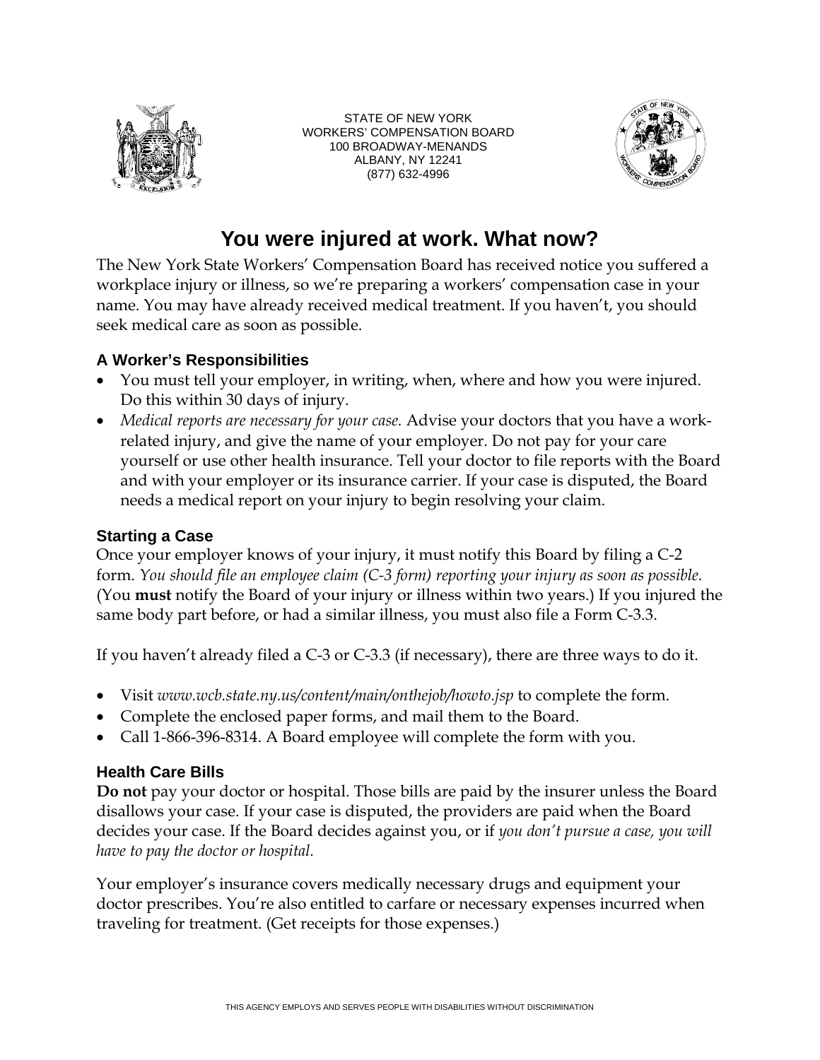

STATE OF NEW YORK WORKERS' COMPENSATION BOARD 100 BROADWAY-MENANDS ALBANY, NY 12241 (877) 632-4996



## **You were injured at work. What now?**

The New York State Workers' Compensation Board has received notice you suffered a workplace injury or illness, so we're preparing a workers' compensation case in your name. You may have already received medical treatment. If you haven't, you should seek medical care as soon as possible.

## **A Worker's Responsibilities**

- You must tell your employer, in writing, when, where and how you were injured. Do this within 30 days of injury.
- Medical reports are necessary for your case. Advise your doctors that you have a workrelated injury, and give the name of your employer. Do not pay for your care yourself or use other health insurance. Tell your doctor to file reports with the Board and with your employer or its insurance carrier. If your case is disputed, the Board needs a medical report on your injury to begin resolving your claim.

## **Starting a Case**

Once your employer knows of your injury, it must notify this Board by filing a C-2 form. *You should file an employee claim (C-3 form) reporting your injury as soon as possible.*  (You **must** notify the Board of your injury or illness within two years.) If you injured the same body part before, or had a similar illness, you must also file a Form C-3.3.

If you haven't already filed a C-3 or C-3.3 (if necessary), there are three ways to do it.

- Visit *www.wcb.state.ny.us/content/main/onthejob/howto.jsp* to complete the form.
- Complete the enclosed paper forms, and mail them to the Board.
- Call 1-866-396-8314. A Board employee will complete the form with you.

## **Health Care Bills**

**Do not** pay your doctor or hospital. Those bills are paid by the insurer unless the Board disallows your case. If your case is disputed, the providers are paid when the Board decides your case. If the Board decides against you, or if *you don't pursue a case, you will have to pay the doctor or hospital.* 

Your employer's insurance covers medically necessary drugs and equipment your doctor prescribes. You're also entitled to carfare or necessary expenses incurred when traveling for treatment. (Get receipts for those expenses.)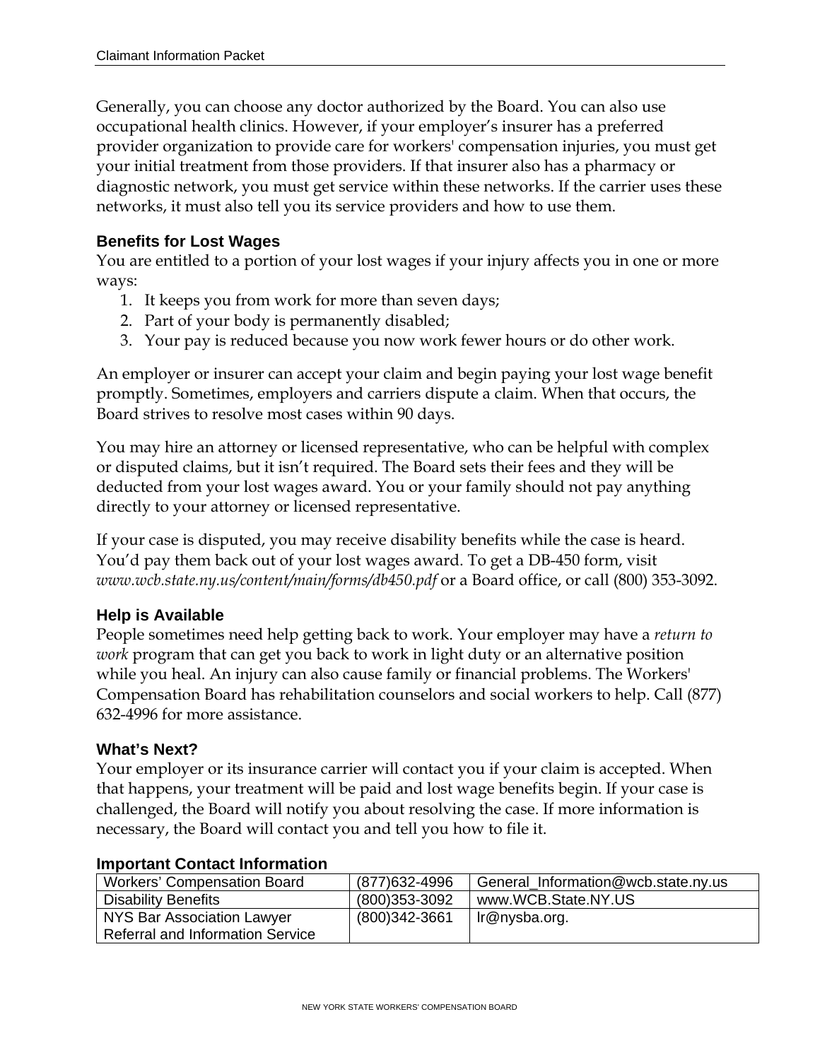Generally, you can choose any doctor authorized by the Board. You can also use occupational health clinics. However, if your employer's insurer has a preferred provider organization to provide care for workers' compensation injuries, you must get your initial treatment from those providers. If that insurer also has a pharmacy or diagnostic network, you must get service within these networks. If the carrier uses these networks, it must also tell you its service providers and how to use them.

## **Benefits for Lost Wages**

You are entitled to a portion of your lost wages if your injury affects you in one or more ways:

- 1. It keeps you from work for more than seven days;
- 2. Part of your body is permanently disabled;
- 3. Your pay is reduced because you now work fewer hours or do other work.

An employer or insurer can accept your claim and begin paying your lost wage benefit promptly. Sometimes, employers and carriers dispute a claim. When that occurs, the Board strives to resolve most cases within 90 days.

You may hire an attorney or licensed representative, who can be helpful with complex or disputed claims, but it isn't required. The Board sets their fees and they will be deducted from your lost wages award. You or your family should not pay anything directly to your attorney or licensed representative.

If your case is disputed, you may receive disability benefits while the case is heard. You'd pay them back out of your lost wages award. To get a DB-450 form, visit *www.wcb.state.ny.us/content/main/forms/db450.pdf* or a Board office, or call (800) 353-3092.

## **Help is Available**

People sometimes need help getting back to work. Your employer may have a *return to work* program that can get you back to work in light duty or an alternative position while you heal. An injury can also cause family or financial problems. The Workers' Compensation Board has rehabilitation counselors and social workers to help. Call (877) 632-4996 for more assistance.

## **What's Next?**

Your employer or its insurance carrier will contact you if your claim is accepted. When that happens, your treatment will be paid and lost wage benefits begin. If your case is challenged, the Board will notify you about resolving the case. If more information is necessary, the Board will contact you and tell you how to file it.

| <b>Workers' Compensation Board</b>      | (877) 632-4996 | General Information@wcb.state.ny.us |  |  |  |
|-----------------------------------------|----------------|-------------------------------------|--|--|--|
| <b>Disability Benefits</b>              | (800)353-3092  | www.WCB.State.NY.US                 |  |  |  |
| NYS Bar Association Lawyer              | (800)342-3661  | Ir@nysba.org.                       |  |  |  |
| <b>Referral and Information Service</b> |                |                                     |  |  |  |

### **Important Contact Information**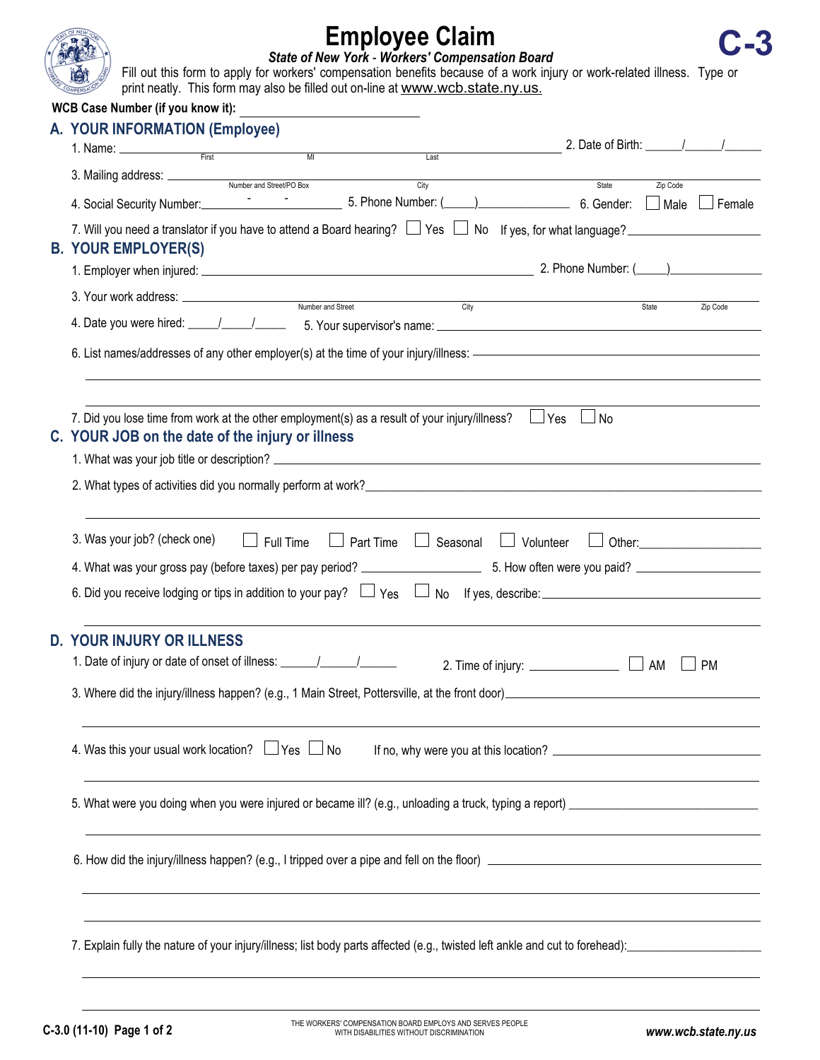

## **Employee Claim**  *State of New York - Workers' Compensation Board*  **C-3**

Fill out this form to apply for workers' compensation benefits because of a work injury or work-related illness. Type or print neatly. This form may also be filled out on-line at www.wcb.state.ny.us

|  | <b>WCB Case Number (if you know it):</b>                                                                                                                                                                                                                                                                                               |                                                                                                                                                    | <u> 1980 - Andrea Andrew Maria (b. 1980)</u> | print nearly. This form may also be mica out on mic at www.web.state.my.as.                   |                                                                                                                                                                                                                       |          |          |  |
|--|----------------------------------------------------------------------------------------------------------------------------------------------------------------------------------------------------------------------------------------------------------------------------------------------------------------------------------------|----------------------------------------------------------------------------------------------------------------------------------------------------|----------------------------------------------|-----------------------------------------------------------------------------------------------|-----------------------------------------------------------------------------------------------------------------------------------------------------------------------------------------------------------------------|----------|----------|--|
|  | A. YOUR INFORMATION (Employee)                                                                                                                                                                                                                                                                                                         |                                                                                                                                                    |                                              |                                                                                               | 2. Date of Birth: $\frac{1}{2}$                                                                                                                                                                                       |          |          |  |
|  | 1. Name: <u>First MICKEL And MICKEL And MICKEL And MICKEL And MICKEL And MICKEL And MICKEL And MICKEL And MICKEL And MICKEL AND MICKEL AND MICKEL AND MICKEL AND MICKEL AND MICKEL AND MICKEL AND MICKEL AND MICKEL AND MICKEL A</u>                                                                                                   |                                                                                                                                                    |                                              | $\overline{\text{Last}}$                                                                      |                                                                                                                                                                                                                       |          |          |  |
|  | 3. Mailing address: <u>Number and Street/PO Box</u>                                                                                                                                                                                                                                                                                    |                                                                                                                                                    |                                              | City                                                                                          | State                                                                                                                                                                                                                 | Zip Code |          |  |
|  |                                                                                                                                                                                                                                                                                                                                        |                                                                                                                                                    |                                              |                                                                                               |                                                                                                                                                                                                                       |          |          |  |
|  |                                                                                                                                                                                                                                                                                                                                        | 7. Will you need a translator if you have to attend a Board hearing? $\Box$ Yes $\Box$ No If yes, for what language?<br><b>B. YOUR EMPLOYER(S)</b> |                                              |                                                                                               |                                                                                                                                                                                                                       |          |          |  |
|  |                                                                                                                                                                                                                                                                                                                                        |                                                                                                                                                    |                                              |                                                                                               |                                                                                                                                                                                                                       |          |          |  |
|  |                                                                                                                                                                                                                                                                                                                                        |                                                                                                                                                    |                                              | $\overline{C}$ ity                                                                            |                                                                                                                                                                                                                       | State    | Zip Code |  |
|  |                                                                                                                                                                                                                                                                                                                                        |                                                                                                                                                    |                                              |                                                                                               |                                                                                                                                                                                                                       |          |          |  |
|  |                                                                                                                                                                                                                                                                                                                                        |                                                                                                                                                    |                                              |                                                                                               |                                                                                                                                                                                                                       |          |          |  |
|  | C. YOUR JOB on the date of the injury or illness                                                                                                                                                                                                                                                                                       |                                                                                                                                                    |                                              | 7. Did you lose time from work at the other employment(s) as a result of your injury/illness? | $\Box$ Yes<br>$\Box$ No                                                                                                                                                                                               |          |          |  |
|  |                                                                                                                                                                                                                                                                                                                                        |                                                                                                                                                    |                                              |                                                                                               |                                                                                                                                                                                                                       |          |          |  |
|  | 2. What types of activities did you normally perform at work?<br>2. What types of activities did you normally perform at work?                                                                                                                                                                                                         |                                                                                                                                                    |                                              |                                                                                               |                                                                                                                                                                                                                       |          |          |  |
|  | 3. Was your job? (check one)<br>$\Box$ Full Time<br>Part Time<br>$\Box$ Seasonal<br>$\Box$ Volunteer<br>Other: the contract of the contract of the contract of the contract of the contract of the contract of the contract of the contract of the contract of the contract of the contract of the contract of the contract of the con |                                                                                                                                                    |                                              |                                                                                               |                                                                                                                                                                                                                       |          |          |  |
|  |                                                                                                                                                                                                                                                                                                                                        |                                                                                                                                                    |                                              |                                                                                               |                                                                                                                                                                                                                       |          |          |  |
|  |                                                                                                                                                                                                                                                                                                                                        |                                                                                                                                                    |                                              |                                                                                               | 6. Did you receive lodging or tips in addition to your pay? $\Box$ Yes $\Box$ No If yes, describe: $\Box$ No If yes are not an analyzed the system in an addition to your pay? $\Box$ Yes $\Box$ No If yes, describe: |          |          |  |
|  | <b>D. YOUR INJURY OR ILLNESS</b><br><b>PM</b><br>AM                                                                                                                                                                                                                                                                                    |                                                                                                                                                    |                                              |                                                                                               |                                                                                                                                                                                                                       |          |          |  |
|  | 3. Where did the injury/illness happen? (e.g., 1 Main Street, Pottersville, at the front door)<br>2. Where did the injury/illness happen? (e.g., 1 Main Street, Pottersville, at the front door)                                                                                                                                       |                                                                                                                                                    |                                              |                                                                                               |                                                                                                                                                                                                                       |          |          |  |
|  | 4. Was this your usual work location? $\Box$ Yes $\Box$ No                                                                                                                                                                                                                                                                             |                                                                                                                                                    |                                              |                                                                                               |                                                                                                                                                                                                                       |          |          |  |
|  |                                                                                                                                                                                                                                                                                                                                        |                                                                                                                                                    |                                              |                                                                                               |                                                                                                                                                                                                                       |          |          |  |
|  |                                                                                                                                                                                                                                                                                                                                        |                                                                                                                                                    |                                              |                                                                                               |                                                                                                                                                                                                                       |          |          |  |
|  |                                                                                                                                                                                                                                                                                                                                        |                                                                                                                                                    |                                              |                                                                                               |                                                                                                                                                                                                                       |          |          |  |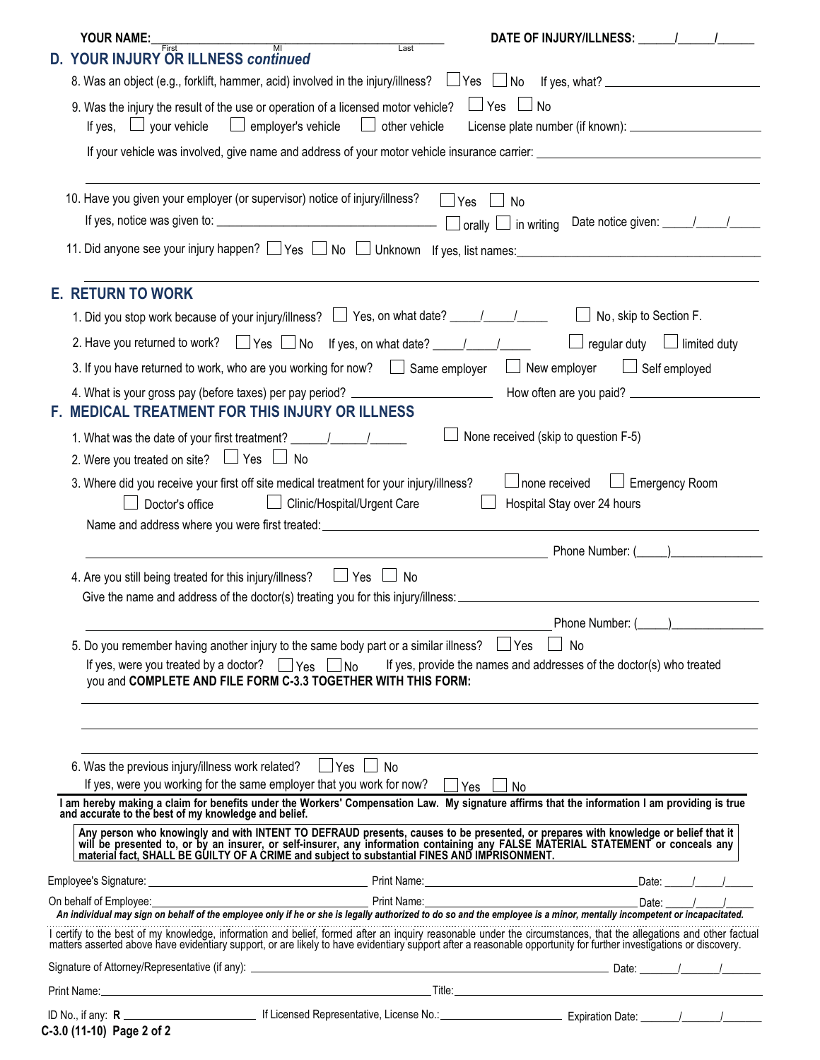| YOUR NAME:<br>First                                     | $\overline{M}$                                                                                                                                                           | DATE OF INJURY/ILLNESS: \[\]                                                                                                                                                                                                      |  |  |  |  |  |
|---------------------------------------------------------|--------------------------------------------------------------------------------------------------------------------------------------------------------------------------|-----------------------------------------------------------------------------------------------------------------------------------------------------------------------------------------------------------------------------------|--|--|--|--|--|
| <b>D. YOUR INJURY OR ILLNESS continued</b>              | Last                                                                                                                                                                     |                                                                                                                                                                                                                                   |  |  |  |  |  |
|                                                         | 8. Was an object (e.g., forklift, hammer, acid) involved in the injury/illness? □Yes □No If yes, what? □                                                                 |                                                                                                                                                                                                                                   |  |  |  |  |  |
| your vehicle<br>If yes, $\Box$                          | 9. Was the injury the result of the use or operation of a licensed motor vehicle?<br>$\Box$ employer's vehicle<br>other vehicle                                          | $\Box$ Yes $\Box$ No                                                                                                                                                                                                              |  |  |  |  |  |
|                                                         |                                                                                                                                                                          |                                                                                                                                                                                                                                   |  |  |  |  |  |
|                                                         | 10. Have you given your employer (or supervisor) notice of injury/illness?                                                                                               | 」Yes __ No<br>$\Box$ orally $\Box$ in writing                                                                                                                                                                                     |  |  |  |  |  |
|                                                         |                                                                                                                                                                          |                                                                                                                                                                                                                                   |  |  |  |  |  |
| <b>E. RETURN TO WORK</b>                                |                                                                                                                                                                          |                                                                                                                                                                                                                                   |  |  |  |  |  |
|                                                         | 1. Did you stop work because of your injury/illness? $\Box$ Yes, on what date? _____/_____/_____                                                                         | No, skip to Section F.                                                                                                                                                                                                            |  |  |  |  |  |
|                                                         | 2. Have you returned to work? $\Box$ Yes $\Box$ No If yes, on what date? $\Box$                                                                                          | $\Box$ regular duty $\Box$ limited duty                                                                                                                                                                                           |  |  |  |  |  |
|                                                         | 3. If you have returned to work, who are you working for now? $\Box$ Same employer                                                                                       | $\Box$ New employer<br>$\Box$ Self employed                                                                                                                                                                                       |  |  |  |  |  |
|                                                         | F. MEDICAL TREATMENT FOR THIS INJURY OR ILLNESS                                                                                                                          |                                                                                                                                                                                                                                   |  |  |  |  |  |
|                                                         | 1. What was the date of your first treatment? __________________________________                                                                                         | None received (skip to question F-5)                                                                                                                                                                                              |  |  |  |  |  |
| 2. Were you treated on site? $\Box$ Yes $\Box$ No       |                                                                                                                                                                          |                                                                                                                                                                                                                                   |  |  |  |  |  |
| Doctor's office                                         | 3. Where did you receive your first off site medical treatment for your injury/illness?<br>□ Clinic/Hospital/Urgent Care                                                 | $\Box$ Emergency Room<br>$\Box$ none received<br>Hospital Stay over 24 hours                                                                                                                                                      |  |  |  |  |  |
|                                                         |                                                                                                                                                                          |                                                                                                                                                                                                                                   |  |  |  |  |  |
| 4. Are you still being treated for this injury/illness? | $\Box$ Yes $\Box$ No<br>Give the name and address of the doctor(s) treating you for this injury/illness:                                                                 |                                                                                                                                                                                                                                   |  |  |  |  |  |
|                                                         |                                                                                                                                                                          | Phone Number: (                                                                                                                                                                                                                   |  |  |  |  |  |
|                                                         | 5. Do you remember having another injury to the same body part or a similar illness? $\Box$ Yes                                                                          | $\Box$ No                                                                                                                                                                                                                         |  |  |  |  |  |
|                                                         | If yes, were you treated by a doctor? $\Box$ Yes $\Box$ No<br>you and COMPLETE AND FILE FORM C-3.3 TOGETHER WITH THIS FORM:                                              | If yes, provide the names and addresses of the doctor(s) who treated                                                                                                                                                              |  |  |  |  |  |
|                                                         | 6. Was the previous injury/illness work related? $\Box$ Yes $\Box$<br>l No<br>If ves, were you working for the same employer that you work for now? $\Box$ Yes $\Box$ No |                                                                                                                                                                                                                                   |  |  |  |  |  |
|                                                         |                                                                                                                                                                          | I am hereby making a claim for benefits under the Workers' Compensation Law. My signature affirms that the information I am providing is true<br>and accurate to the best of my knowledge and belief.                             |  |  |  |  |  |
|                                                         |                                                                                                                                                                          | Any person who knowingly and with INTENT TO DEFRAUD presents, causes to be presented, or prepares with knowledge or belief that it will be presented to, or by an insurer, or self-insurer, any information containing any FAL    |  |  |  |  |  |
|                                                         |                                                                                                                                                                          |                                                                                                                                                                                                                                   |  |  |  |  |  |
|                                                         |                                                                                                                                                                          |                                                                                                                                                                                                                                   |  |  |  |  |  |
|                                                         |                                                                                                                                                                          | increased a local construction and belief, formed after an inquiry reasonable under the circumstances, that the allegations and other factual<br>matters asserted above have evidentiary support, or are likely to have evidentia |  |  |  |  |  |
|                                                         |                                                                                                                                                                          |                                                                                                                                                                                                                                   |  |  |  |  |  |
|                                                         |                                                                                                                                                                          |                                                                                                                                                                                                                                   |  |  |  |  |  |
|                                                         |                                                                                                                                                                          |                                                                                                                                                                                                                                   |  |  |  |  |  |

| 10180., 11611y. 11        |  |
|---------------------------|--|
| C-3.0 (11-10) Page 2 of 2 |  |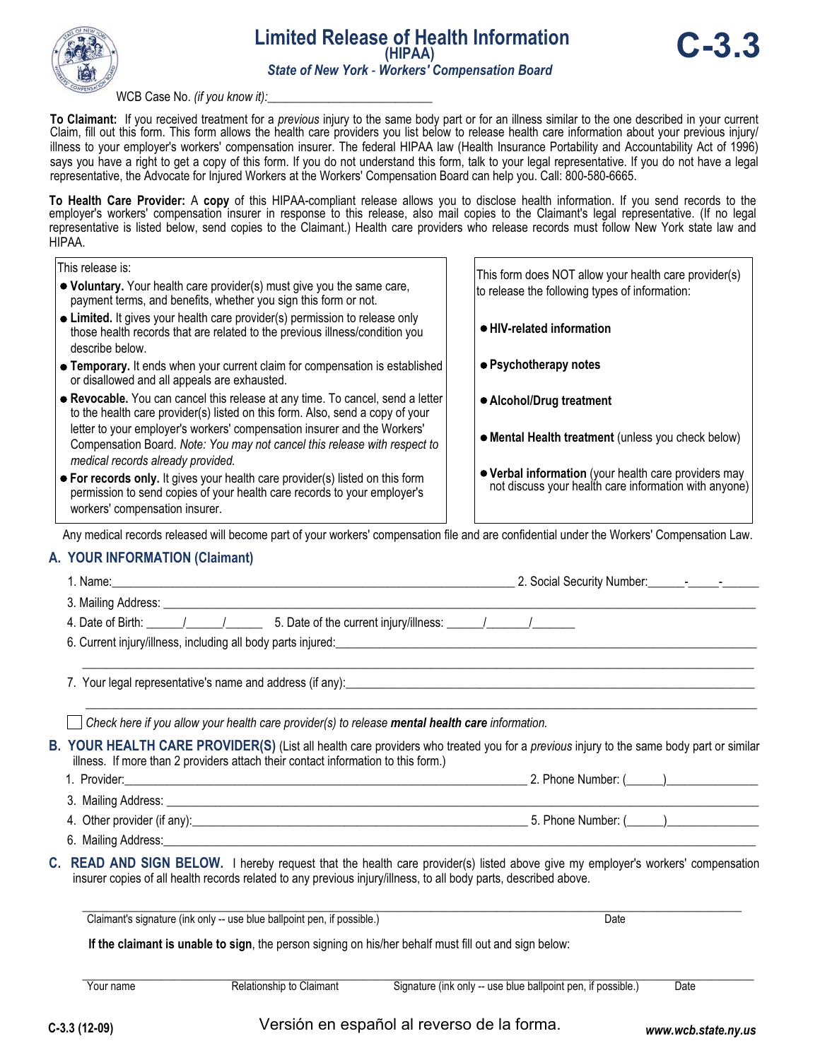

### WCB Case No. *(if you know it):*

**To Claimant:** If you received treatment for a *previous* injury to the same body part or for an illness similar to the one described in your current Claim, fill out this form. This form allows the health care providers you list below to release health care information about your previous injury/ illness to your employer's workers' compensation insurer. The federal HIPAA law (Health Insurance Portability and Accountability Act of 1996) says you have a right to get a copy of this form. If you do not understand this form, talk to your legal representative. If you do not have a legal representative, the Advocate for Injured Workers at the Workers' Compensation Board can help you. Call: 800-580-6665.

**To Health Care Provider:** A **copy** of this HIPAA-compliant release allows you to disclose health information. If you send records to the employer's workers' compensation insurer in response to this release, also mail copies to the Claimant's legal representative. (If no legal representative is listed below, send copies to the Claimant.) Health care providers who release records must follow New York state law and HIPAA.

| This release is:                             |                                                                                                                                                                                                                                                                                                                          | This form does NOT allow your health care provider(s)                                                      |                     |
|----------------------------------------------|--------------------------------------------------------------------------------------------------------------------------------------------------------------------------------------------------------------------------------------------------------------------------------------------------------------------------|------------------------------------------------------------------------------------------------------------|---------------------|
|                                              | • Voluntary. Your health care provider(s) must give you the same care,<br>payment terms, and benefits, whether you sign this form or not.                                                                                                                                                                                | to release the following types of information:                                                             |                     |
| describe below.                              | • Limited. It gives your health care provider(s) permission to release only<br>those health records that are related to the previous illness/condition you                                                                                                                                                               | ● HIV-related information                                                                                  |                     |
| or disallowed and all appeals are exhausted. | • Temporary. It ends when your current claim for compensation is established                                                                                                                                                                                                                                             | ● Psychotherapy notes                                                                                      |                     |
| medical records already provided.            | • Revocable. You can cancel this release at any time. To cancel, send a letter<br>to the health care provider(s) listed on this form. Also, send a copy of your<br>letter to your employer's workers' compensation insurer and the Workers'<br>Compensation Board. Note: You may not cancel this release with respect to | • Alcohol/Drug treatment<br>• Mental Health treatment (unless you check below)                             |                     |
| workers' compensation insurer.               | • For records only. It gives your health care provider(s) listed on this form<br>permission to send copies of your health care records to your employer's                                                                                                                                                                | • Verbal information (your health care providers may not discuss your health care information with anyone) |                     |
|                                              | Any medical records released will become part of your workers' compensation file and are confidential under the Workers' Compensation Law.                                                                                                                                                                               |                                                                                                            |                     |
| A. YOUR INFORMATION (Claimant)               |                                                                                                                                                                                                                                                                                                                          |                                                                                                            |                     |
|                                              |                                                                                                                                                                                                                                                                                                                          |                                                                                                            |                     |
|                                              |                                                                                                                                                                                                                                                                                                                          |                                                                                                            |                     |
|                                              |                                                                                                                                                                                                                                                                                                                          |                                                                                                            |                     |
|                                              | 6. Current injury/illness, including all body parts injured:<br>Sand Process Commerce Commerce Commerce Commerce Commerce Commerce Commerce Commerce Commerce Commerce Commer                                                                                                                                            |                                                                                                            |                     |
|                                              |                                                                                                                                                                                                                                                                                                                          |                                                                                                            |                     |
|                                              | Check here if you allow your health care provider(s) to release mental health care information.                                                                                                                                                                                                                          |                                                                                                            |                     |
|                                              | B. YOUR HEALTH CARE PROVIDER(S) (List all health care providers who treated you for a previous injury to the same body part or similar<br>illness. If more than 2 providers attach their contact information to this form.)                                                                                              |                                                                                                            |                     |
|                                              |                                                                                                                                                                                                                                                                                                                          |                                                                                                            |                     |
|                                              |                                                                                                                                                                                                                                                                                                                          |                                                                                                            |                     |
|                                              |                                                                                                                                                                                                                                                                                                                          |                                                                                                            |                     |
|                                              |                                                                                                                                                                                                                                                                                                                          |                                                                                                            |                     |
| С.                                           | READ AND SIGN BELOW. I hereby request that the health care provider(s) listed above give my employer's workers' compensation<br>insurer copies of all health records related to any previous injury/illness, to all body parts, described above.                                                                         |                                                                                                            |                     |
|                                              | Claimant's signature (ink only -- use blue ballpoint pen, if possible.)                                                                                                                                                                                                                                                  | Date                                                                                                       |                     |
|                                              | If the claimant is unable to sign, the person signing on his/her behalf must fill out and sign below:                                                                                                                                                                                                                    |                                                                                                            |                     |
| Your name                                    | Relationship to Claimant                                                                                                                                                                                                                                                                                                 | Signature (ink only -- use blue ballpoint pen, if possible.)                                               | Date                |
|                                              |                                                                                                                                                                                                                                                                                                                          |                                                                                                            |                     |
| C-3.3 (12-09)                                | Versión en español al reverso de la forma.                                                                                                                                                                                                                                                                               |                                                                                                            | www.wcb.state.ny.us |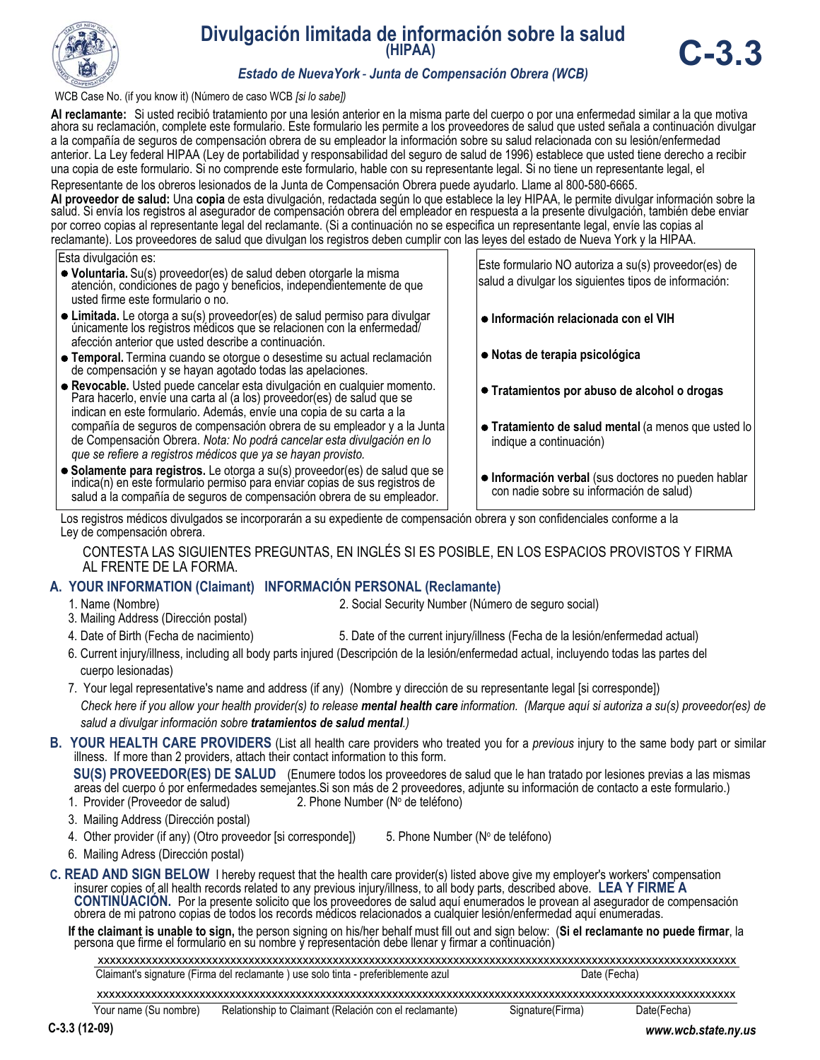

# **Divulgación limitada de información sobre la salud (HIPAA)**



### *Estado de NuevaYork - Junta de Compensación Obrera (WCB)*

WCB Case No. (if you know it) (Número de caso WCB *[si lo sabe])*

Al reclamante: Si usted recibió tratamiento por una lesión anterior en la misma parte del cuerpo o por una enfermedad similar a la que motiva ahora su reclamación, complete este formulario. Este formulario les permite a lo a la compañía de seguros de compensación obrera de su empleador la información sobre su salud relacionada con su lesión/enfermedad anterior. La Ley federal HIPAA (Ley de portabilidad y responsabilidad del seguro de salud de 1996) establece que usted tiene derecho a recibir una copia de este formulario. Si no comprende este formulario, hable con su representante legal. Si no tiene un representante legal, el

Representante de los obreros lesionados de la Junta de Compensación Obrera puede ayudarlo. Llame al 800-580-6665.<br>Al proveedor de salud: Una copia de esta divulgación, redactada según lo que establece la ley HIPAA, le perm salud. Si envía los registros al asegurador de compensación obrera del empleador en respuesta a la presente divulgación, también debe enviar por correo copias al representante legal del reclamante. (Si a continuación no se especifica un representante legal, envíe las copias al reclamante). Los proveedores de salud que divulgan los registros deben cumplir con las leyes del estado de Nueva York y la HIPAA.

Esta divulgación es:

- **Voluntaria.** Su(s) proveedor(es) de salud deben otorgarle la misma atención, condiciones de pago y beneficios, independientemente de que usted firme este formulario o no.
- **Limitada.** Le otorga a su(s) proveedor(es) de salud permiso para divulgar únicamente los registros médicos que se relacionen con la enfermedad/ afección anterior que usted describe a continuación.
- **Temporal.** Termina cuando se otorgue o desestime su actual reclamación de compensación y se hayan agotado todas las apelaciones.
- **Revocable.** Usted puede cancelar esta divulgación en cualquier momento. Para hacerlo, envíe una carta al (a los) proveedor(es) de salud que se indican en este formulario. Además, envíe una copia de su carta a la compañía de seguros de compensación obrera de su empleador y a la Junta de Compensación Obrera. *Nota: No podrá cancelar esta divulgación en lo que se refiere a registros médicos que ya se hayan provisto.*
- **Solamente para registros.** Le otorga a su(s) proveedor(es) de salud que se indica(n) en este formulario permiso para enviar copias de sus registros de salud a la compañía de seguros de compensación obrera de su empleador.

Este formulario NO autoriza a su(s) proveedor(es) de salud a divulgar los siguientes tipos de información:

- **Información relacionada con el VIH**
- **Notas de terapia psicológica**
- **Tratamientos por abuso de alcohol o drogas**
- **Tratamiento de salud mental** (a menos que usted lo indique a continuación)
- **Información verbal** (sus doctores no pueden hablar con nadie sobre su información de salud)

Los registros médicos divulgados se incorporarán a su expediente de compensación obrera y son confidenciales conforme a la Ley de compensación obrera.

CONTESTA LAS SIGUIENTES PREGUNTAS, EN INGLÉS SI ES POSIBLE, EN LOS ESPACIOS PROVISTOS Y FIRMA AL FRENTE DE LA FORMA.

### **A. YOUR INFORMATION (Claimant) INFORMACIÓN PERSONAL (Reclamante)**

- 1. Name (Nombre) 2. Social Security Number (Número de seguro social)
- 3. Mailing Address (Dirección postal)
- 4. Date of Birth (Fecha de nacimiento) 5. Date of the current injury/illness (Fecha de la lesión/enfermedad actual)
- 6. Current injury/illness, including all body parts injured (Descripción de la lesión/enfermedad actual, incluyendo todas las partes del cuerpo lesionadas)
- 7. Your legal representative's name and address (if any) (Nombre y dirección de su representante legal [si corresponde]) Check here if you allow your health provider(s) to release **mental health care** information. (Marque aquí si autoriza a su(s) proveedor(es) de  *salud a divulgar información sobre tratamientos de salud mental.)*

**B. YOUR HEALTH CARE PROVIDERS** (List all health care providers who treated you for a *previous* injury to the same body part or similar illness. If more than 2 providers, attach their contact information to this form.

 **SU(S) PROVEEDOR(ES) DE SALUD** (Enumere todos los proveedores de salud que le han tratado por lesiones previas a las mismas areas del cuerpo ó por enfermedades semejantes.Si son más de 2 proveedores, adjunte su información de contacto a este formulario.) 1. Provider (Proveedor de salud) 2. Phone Number (Nº de teléfono)

- 3. Mailing Address (Dirección postal)
- 4. Other provider (if any) (Otro proveedor [si corresponde]) 5. Phone Number (Nº de teléfono)
- 6. Mailing Adress (Dirección postal)

**C. READ AND SIGN BELOW** I hereby request that the health care provider(s) listed above give my employer's workers' compensation insurer copies of all health records related to any previous injury/illness, to all body part CONTINUACIÓN. Por la presente solicito que los proveedores de salud aquí enumerados le provean al asegurador de compensación obrera de mi patrono copias de todos los records médicos relacionados a cualquier lesión/enfermed

If the claimant is unable to sign, the person signing on his/her behalf must fill out and sign below: (Si el reclamante no puede firmar, la persona que firme el formulario en su nombre y representación debe llenar y firmar

Claimant's signature (Firma del reclamante ) use solo tinta - preferiblemente azul Date (Fecha) xxxxxxxxxxxxxxxxxxxxxxxxxxxxxxxxxxxxxxxxxxxxxxxxxxxxxxxxxxxxxxxxxxxxxxxxxxxxxxxxxxxxxxxxxxxxxxxxxxxxxxxxxx

xxxxxxxxxxxxxxxxxxxxxxxxxxxxxxxxxxxxxxxxxxxxxxxxxxxxxxxxxxxxxxxxxxxxxxxxxxxxxxxxxxxxxxxxxxxxxxxxxxxxxxxxxx

Your name (Su nombre) Relationship to Claimant (Relación con el reclamante) Signature(Firma) Date(Fecha)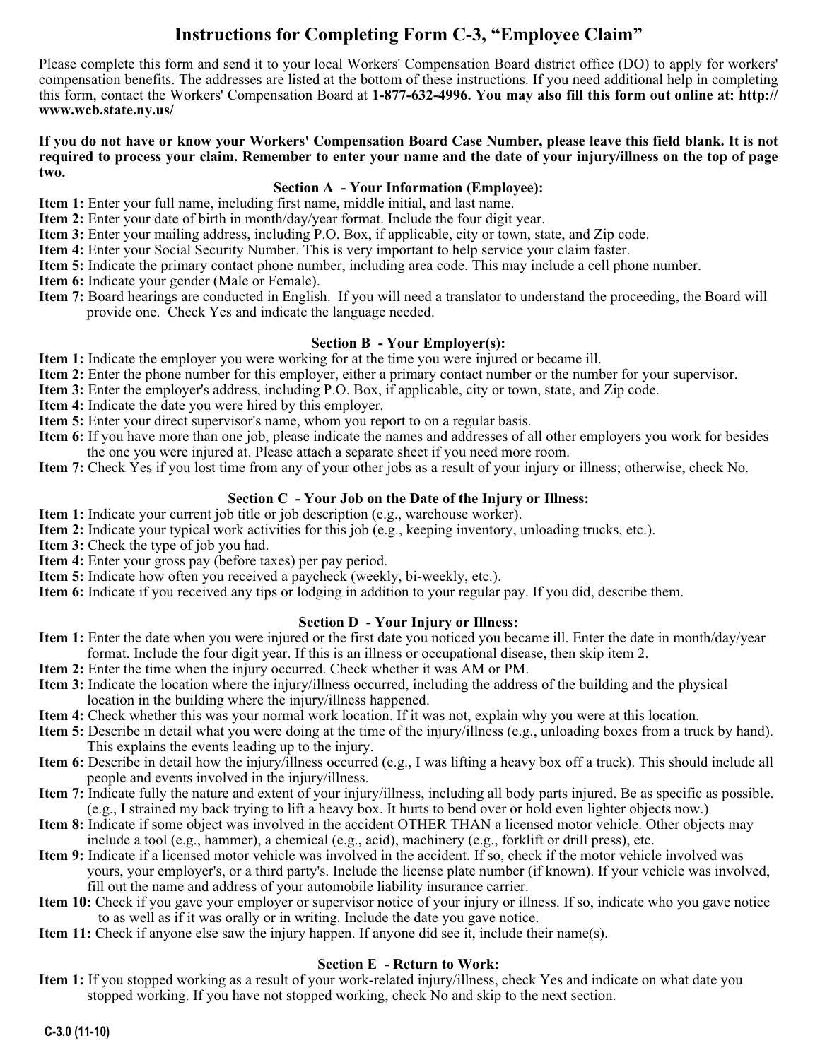## **Instructions for Completing Form C-3, "Employee Claim"**

Please complete this form and send it to your local Workers' Compensation Board district office (DO) to apply for workers' compensation benefits. The addresses are listed at the bottom of these instructions. If you need additional help in completing this form, contact the Workers' Compensation Board at **1-877-632-4996. You may also fill this form out online at: http:// www.wcb.state.ny.us/**

### **If you do not have or know your Workers' Compensation Board Case Number, please leave this field blank. It is not required to process your claim. Remember to enter your name and the date of your injury/illness on the top of page two.**

### **Section A - Your Information (Employee):**

- **Item 1:** Enter your full name, including first name, middle initial, and last name.
- **Item 2:** Enter your date of birth in month/day/year format. Include the four digit year.
- **Item 3:** Enter your mailing address, including P.O. Box, if applicable, city or town, state, and Zip code.
- **Item 4:** Enter your Social Security Number. This is very important to help service your claim faster.
- **Item 5:** Indicate the primary contact phone number, including area code. This may include a cell phone number.
- **Item 6:** Indicate your gender (Male or Female).
- **Item 7:** Board hearings are conducted in English. If you will need a translator to understand the proceeding, the Board will provide one. Check Yes and indicate the language needed.

### **Section B - Your Employer(s):**

- **Item 1:** Indicate the employer you were working for at the time you were injured or became ill.
- **Item 2:** Enter the phone number for this employer, either a primary contact number or the number for your supervisor.
- **Item 3:** Enter the employer's address, including P.O. Box, if applicable, city or town, state, and Zip code.
- **Item 4:** Indicate the date you were hired by this employer.
- **Item 5:** Enter your direct supervisor's name, whom you report to on a regular basis.
- **Item 6:** If you have more than one job, please indicate the names and addresses of all other employers you work for besides the one you were injured at. Please attach a separate sheet if you need more room.
- **Item 7:** Check Yes if you lost time from any of your other jobs as a result of your injury or illness; otherwise, check No.

### **Section C - Your Job on the Date of the Injury or Illness:**

- **Item 1:** Indicate your current job title or job description (e.g., warehouse worker).
- **Item 2:** Indicate your typical work activities for this job (e.g., keeping inventory, unloading trucks, etc.).
- **Item 3:** Check the type of job you had.
- **Item 4:** Enter your gross pay (before taxes) per pay period.
- **Item 5:** Indicate how often you received a paycheck (weekly, bi-weekly, etc.).
- **Item 6:** Indicate if you received any tips or lodging in addition to your regular pay. If you did, describe them.

### **Section D - Your Injury or Illness:**

- **Item 1:** Enter the date when you were injured or the first date you noticed you became ill. Enter the date in month/day/year format. Include the four digit year. If this is an illness or occupational disease, then skip item 2.
- **Item 2:** Enter the time when the injury occurred. Check whether it was AM or PM.
- **Item 3:** Indicate the location where the injury/illness occurred, including the address of the building and the physical location in the building where the injury/illness happened.
- **Item 4:** Check whether this was your normal work location. If it was not, explain why you were at this location.
- **Item 5:** Describe in detail what you were doing at the time of the injury/illness (e.g., unloading boxes from a truck by hand). This explains the events leading up to the injury.
- **Item 6:** Describe in detail how the injury/illness occurred (e.g., I was lifting a heavy box off a truck). This should include all people and events involved in the injury/illness.
- **Item 7:** Indicate fully the nature and extent of your injury/illness, including all body parts injured. Be as specific as possible. (e.g., I strained my back trying to lift a heavy box. It hurts to bend over or hold even lighter objects now.)
- **Item 8:** Indicate if some object was involved in the accident OTHER THAN a licensed motor vehicle. Other objects may include a tool (e.g., hammer), a chemical (e.g., acid), machinery (e.g., forklift or drill press), etc.
- **Item 9:** Indicate if a licensed motor vehicle was involved in the accident. If so, check if the motor vehicle involved was yours, your employer's, or a third party's. Include the license plate number (if known). If your vehicle was involved, fill out the name and address of your automobile liability insurance carrier.
- **Item 10:** Check if you gave your employer or supervisor notice of your injury or illness. If so, indicate who you gave notice to as well as if it was orally or in writing. Include the date you gave notice.
- **Item 11:** Check if anyone else saw the injury happen. If anyone did see it, include their name(s).

### **Section E - Return to Work:**

**Item 1:** If you stopped working as a result of your work-related injury/illness, check Yes and indicate on what date you stopped working. If you have not stopped working, check No and skip to the next section.